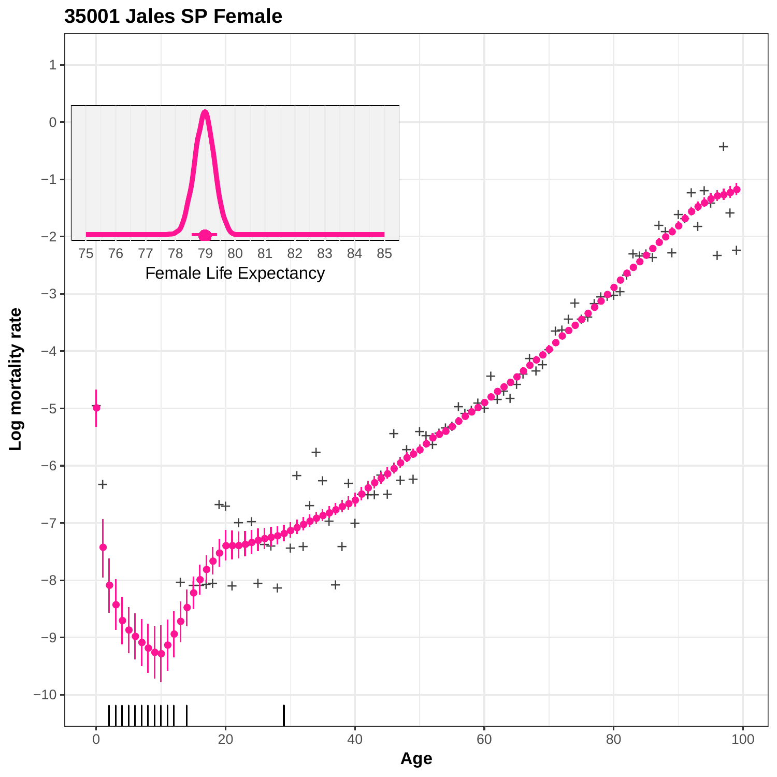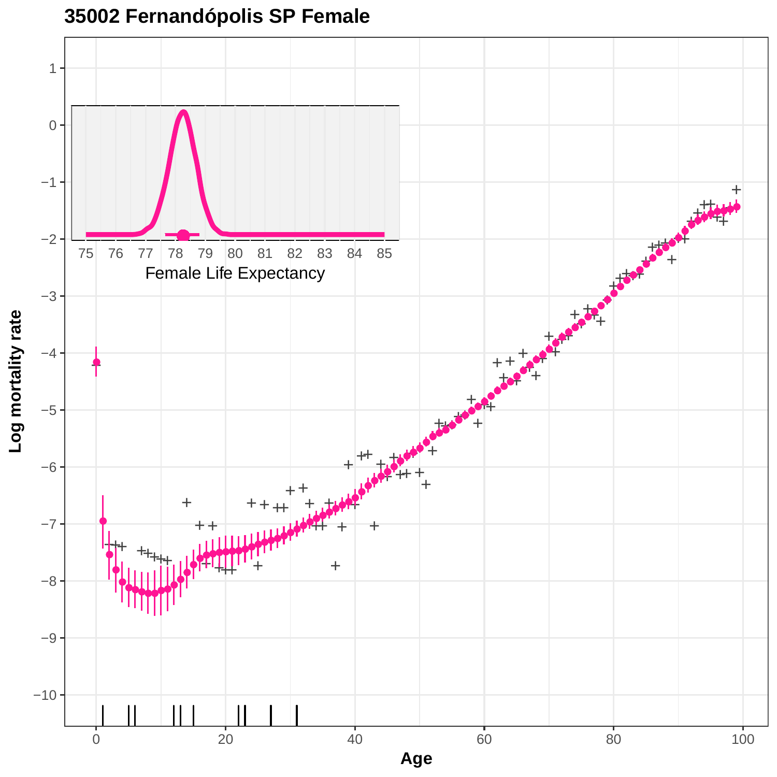

# **35002 Fernandópolis SP Female**

**Log mortality rate**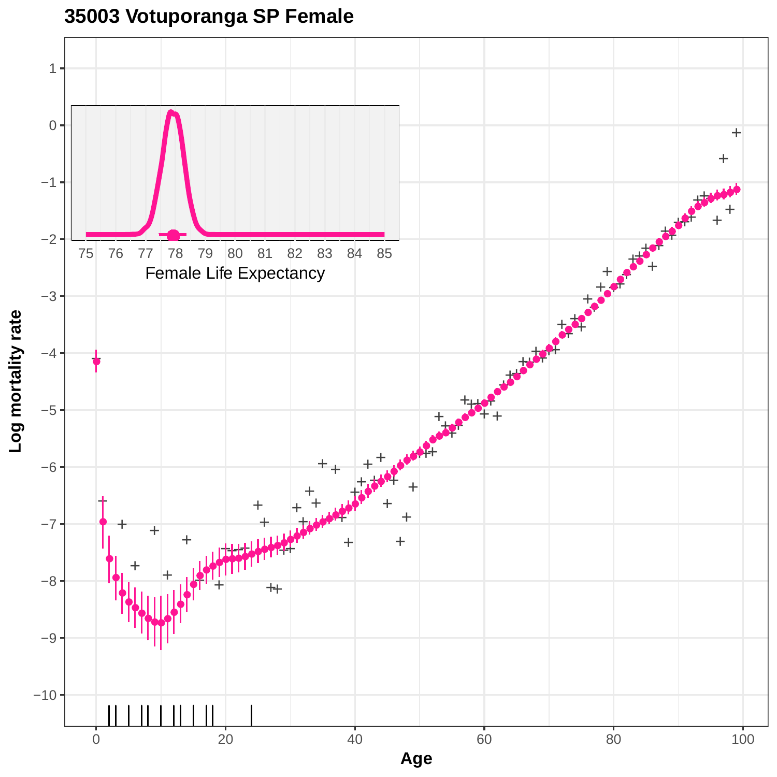

## **35003 Votuporanga SP Female**

0 20 20 40 60 80 80 100 **Age**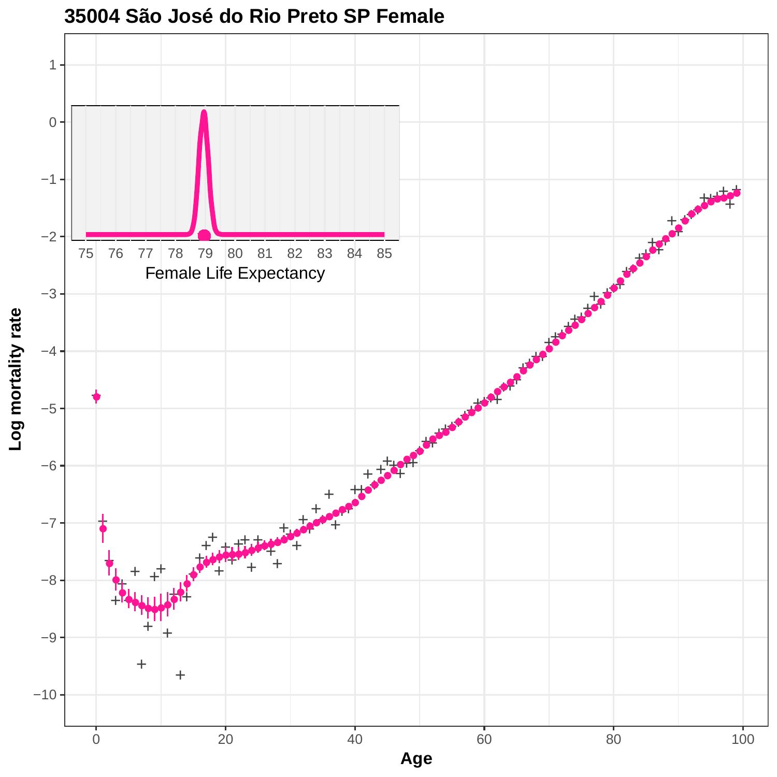

**35004 São José do Rio Preto SP Female**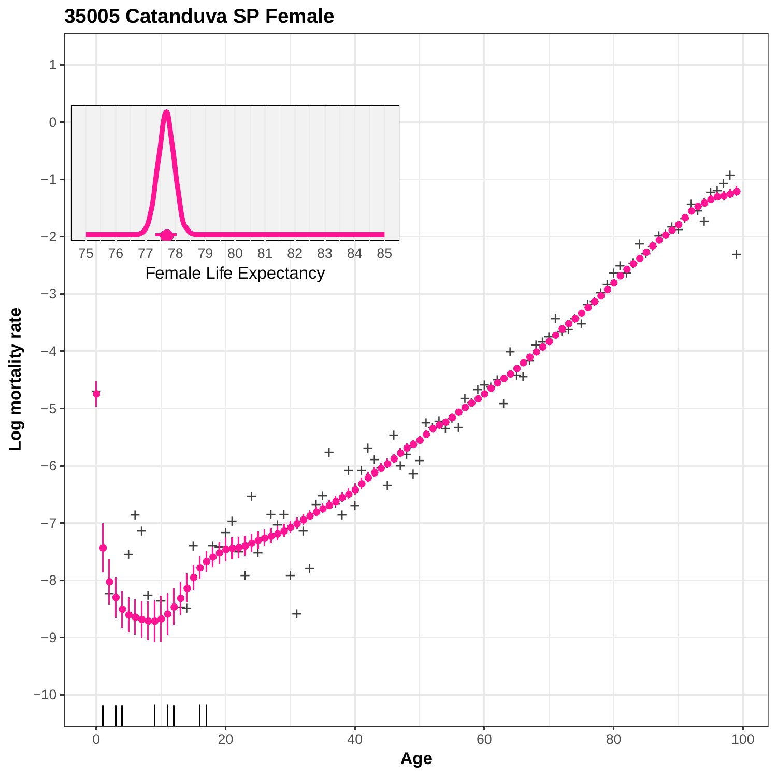

**35005 Catanduva SP Female**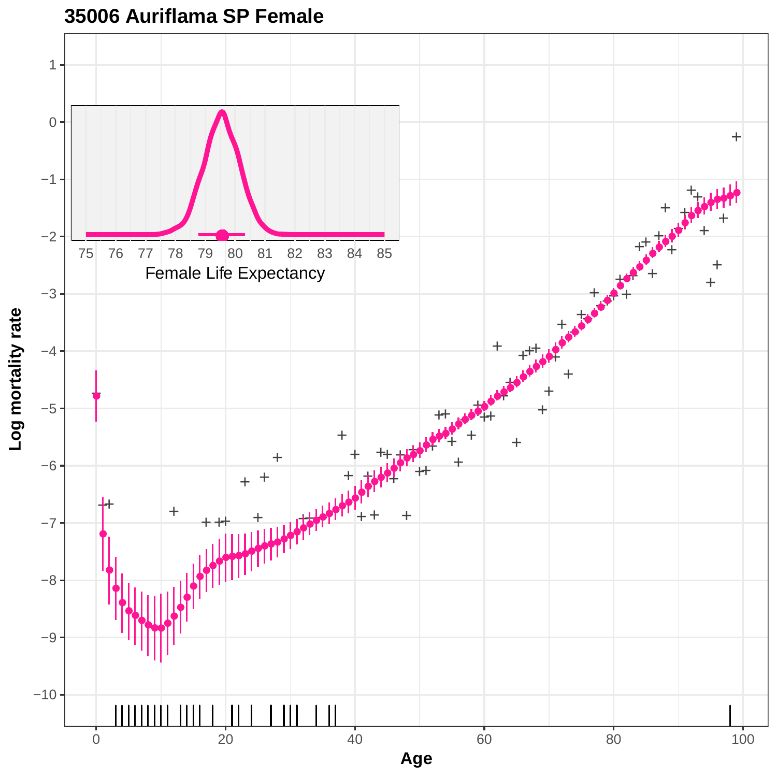

### **35006 Auriflama SP Female**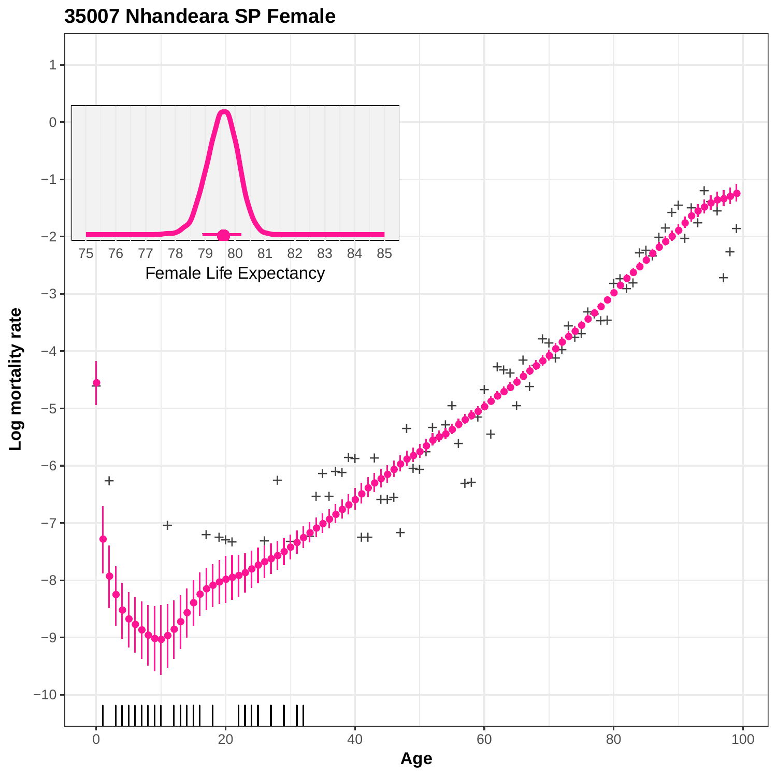

### **35007 Nhandeara SP Female**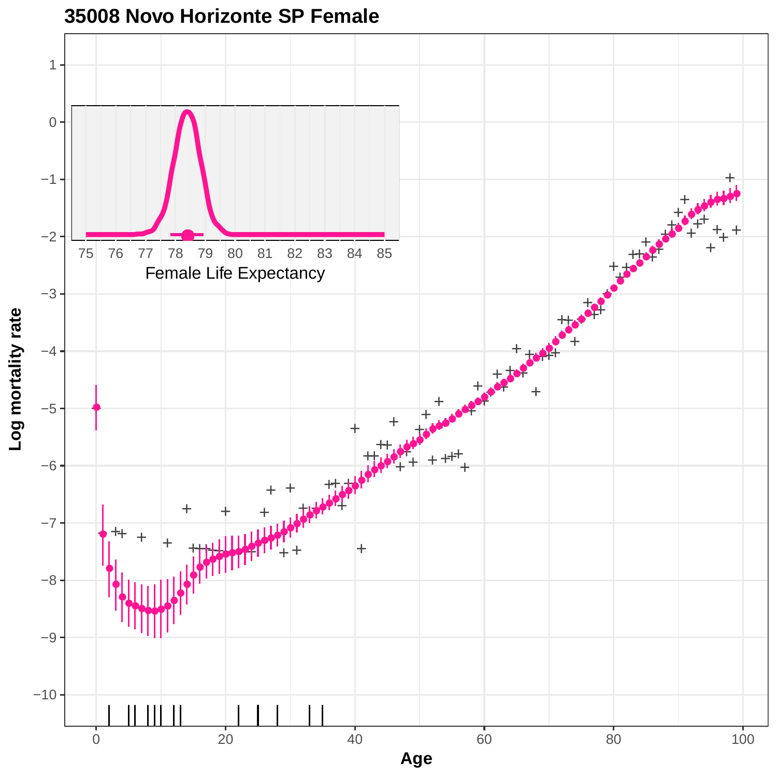

**<sup>35008</sup> Novo Horizonte SP Female**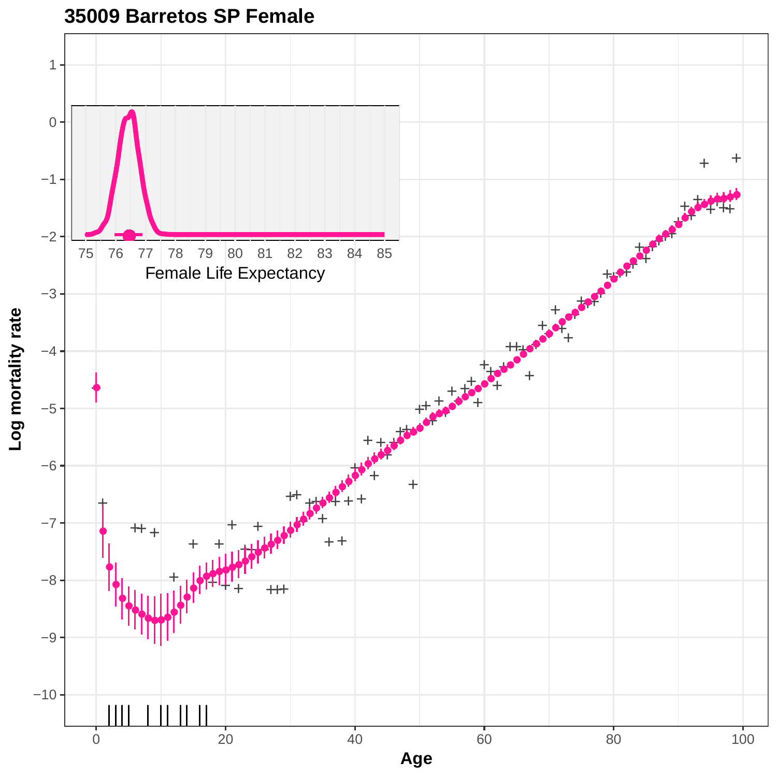

#### **35009 Barretos SP Female**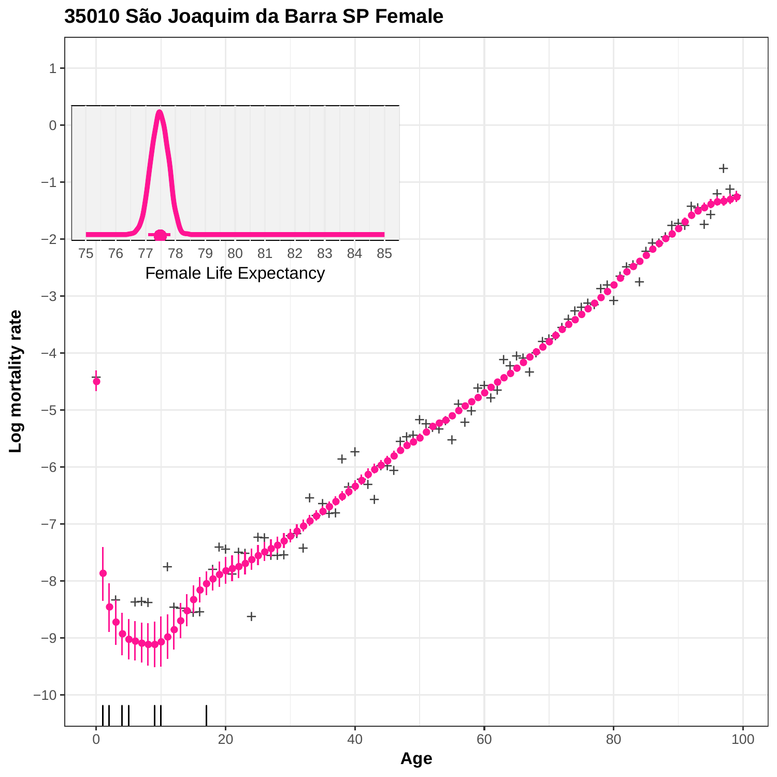

**35010 São Joaquim da Barra SP Female**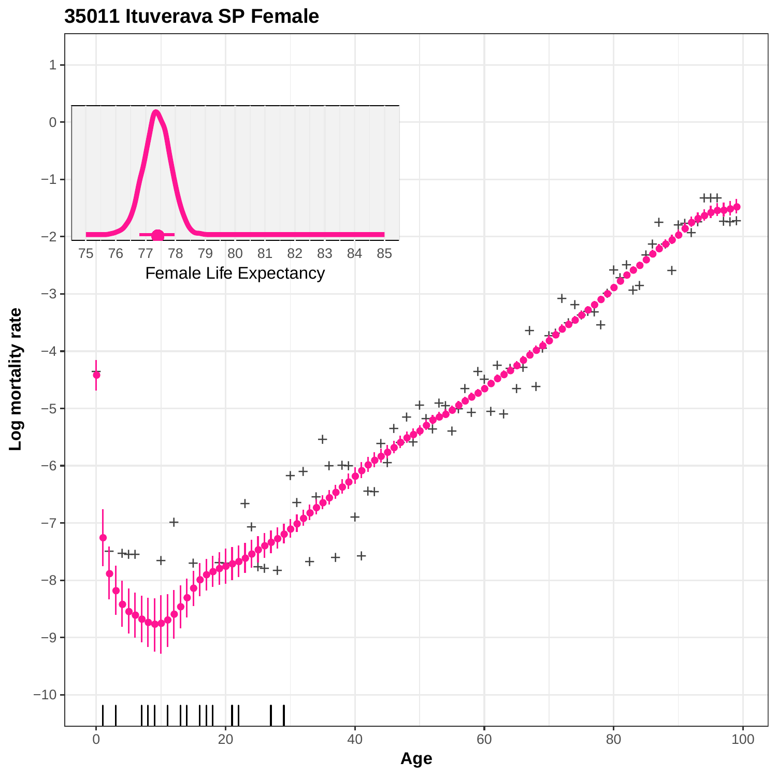

### **35011 Ituverava SP Female**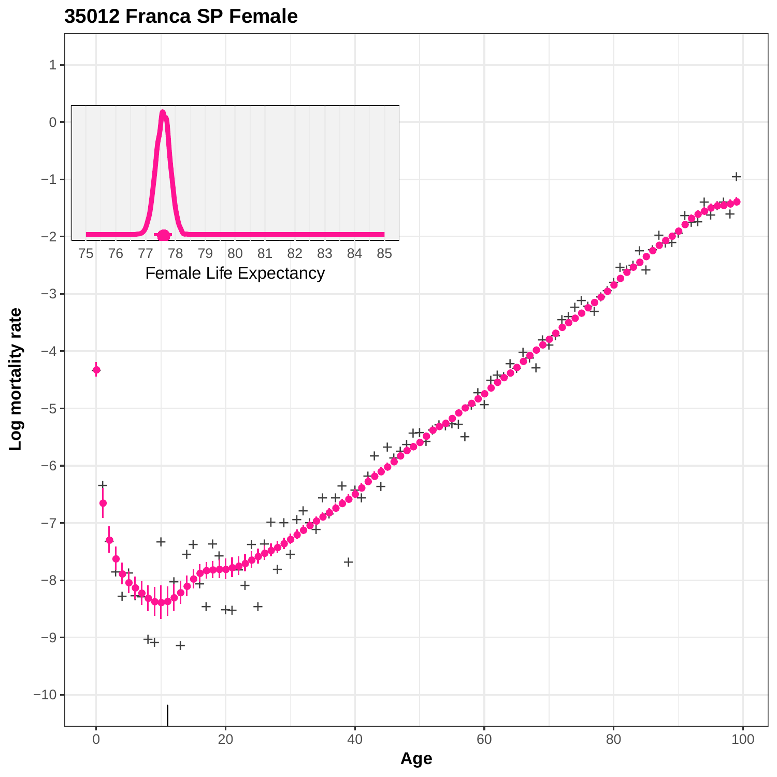

## **35012 Franca SP Female**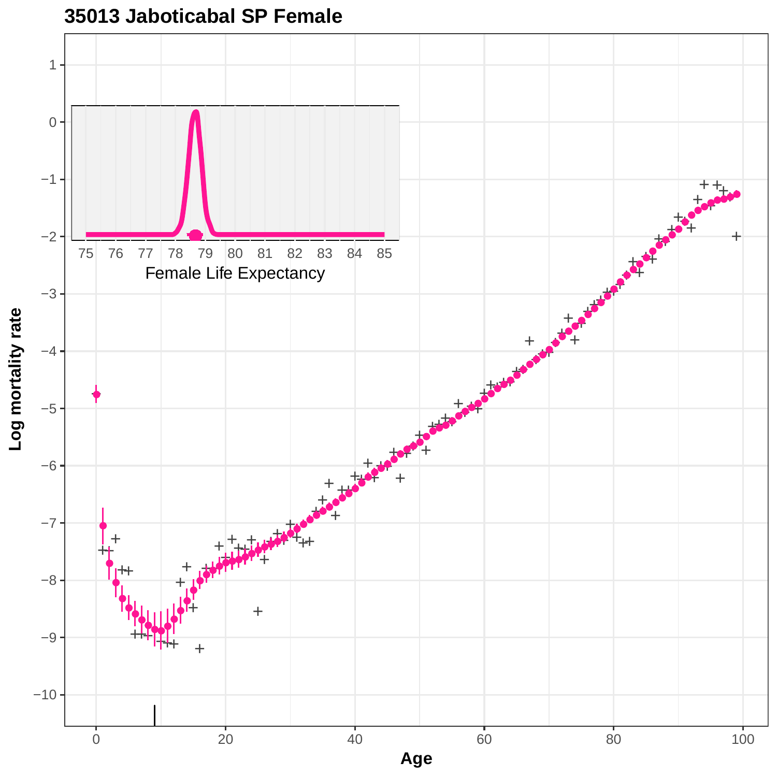

**35013 Jaboticabal SP Female**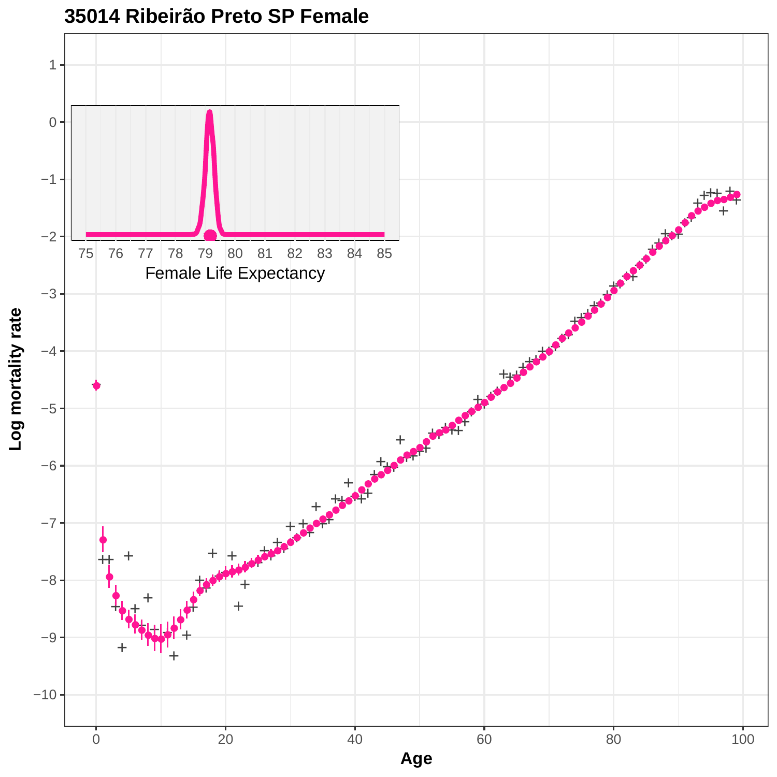

**35014 Ribeirão Preto SP Female**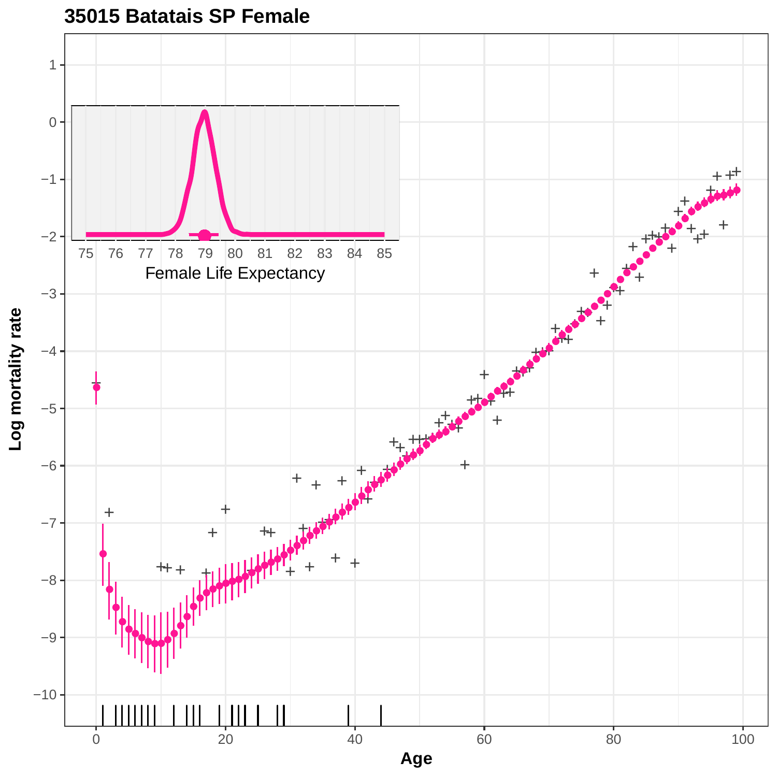

**35015 Batatais SP Female**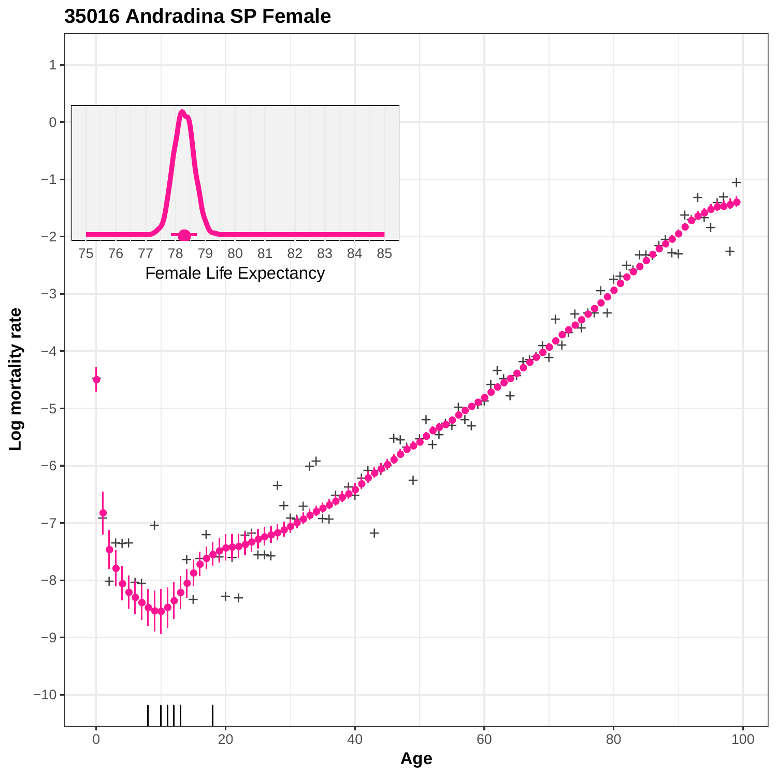

**35016 Andradina SP Female**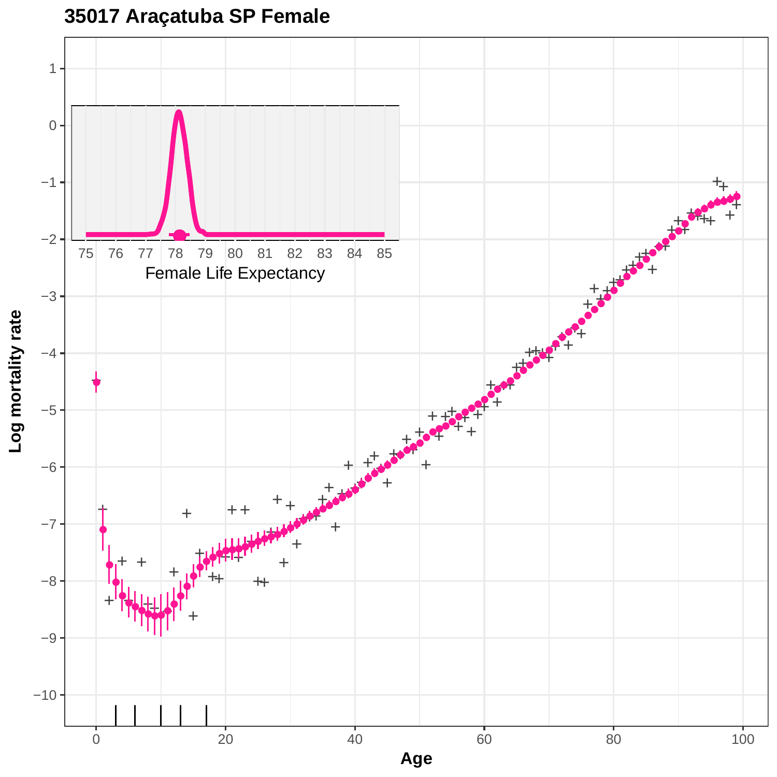**35017 Araçatuba SP Female** 1 0  $+$ −1  $+$ + + ●  $\overline{\bullet}$ + **9999999999999** ● −2  $\mathbf{f}$ 75 76 77 78 79 80 81 82 83 84 85  $+$ ++ Female Life Expectancy+ + + + ++ ● **●**<br>●●●●●●●●●●●●●●●●●●●● −3  $\frac{1}{\sqrt{2}}$ Log mortality rate **Log mortality rate**  $\mathbf{f}_+$ +  $\mathbf{f}$ +  $+$ −4 ●●●●●●●●●●●●●●●●●●●●●●●●●●●●●●●●●●●●●●●●●●●●●●●●●●●●●●●  $+1$ + + ++ ● + + −5  $\ddot{\mathbf{t}}$ +  $+$ + +  $\frac{1}{\sqrt{2}}$ + +  $\pm$  $\mathbf{P}$ **+** +  $\ddot{}$ + + −6  $\bullet$ ++ + +  $\ddot{\bullet}$ + + + + + + + +++ −7 + ● + + + + +  $\mathbf{r}$ + + + ● + ++ ● −8 ●

+ + +++ + ++ + ● **个出业** ● ● ● **●**●●●●●●  $-10-$ −9 0 20 20 40 60 80 80 100 **Age**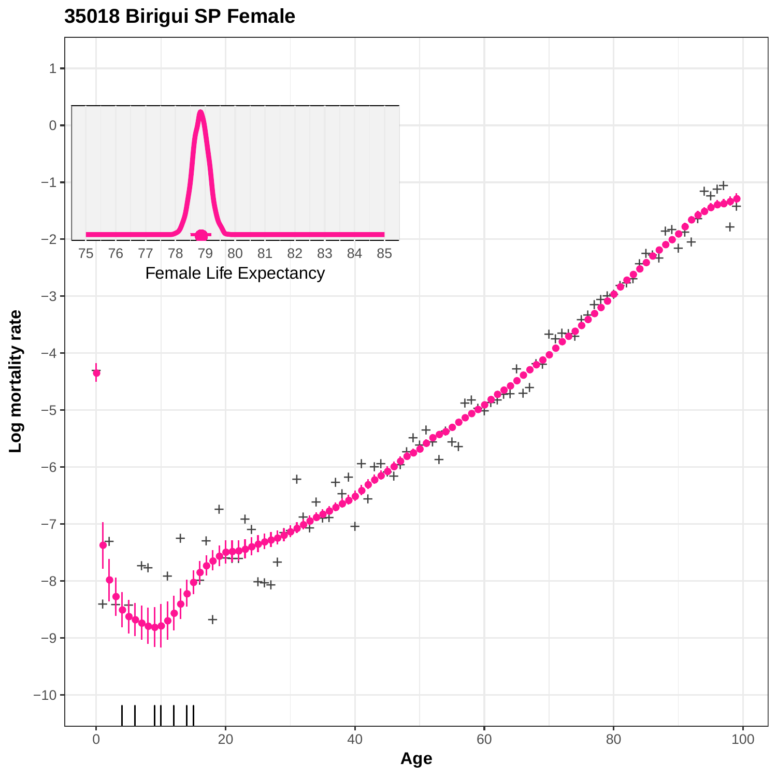# **35018 Birigui SP Female**

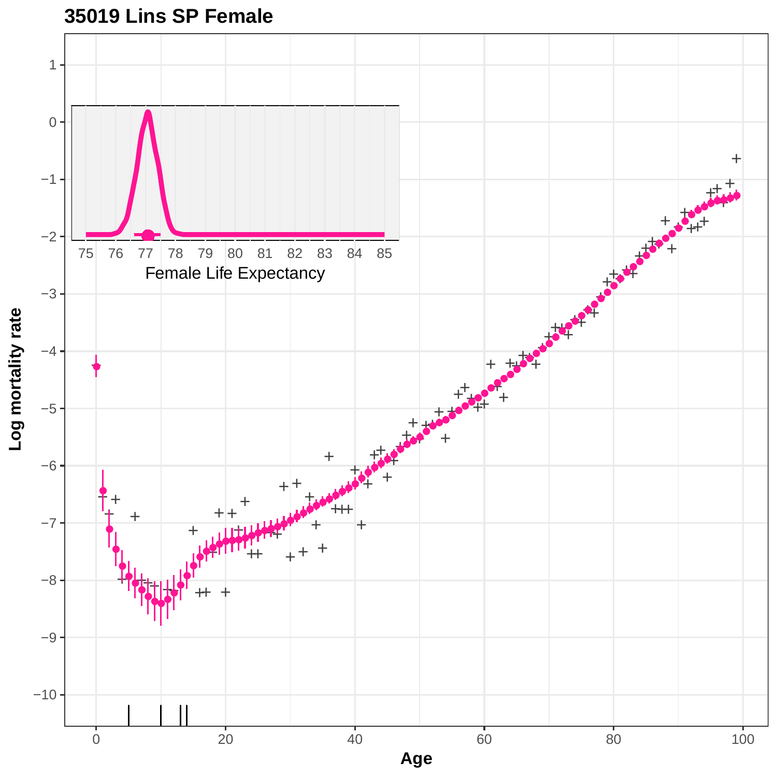

**35019 Lins SP Female**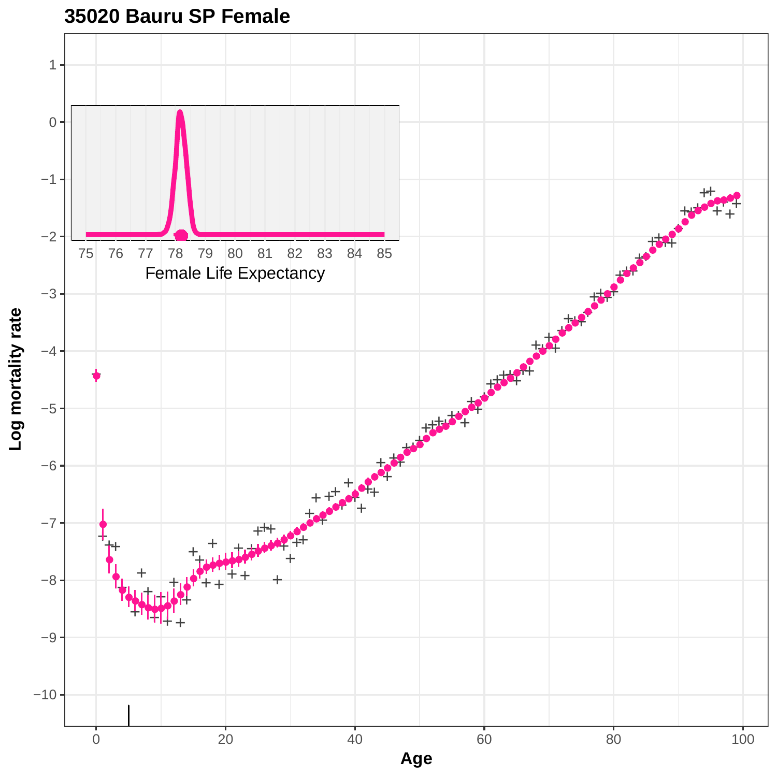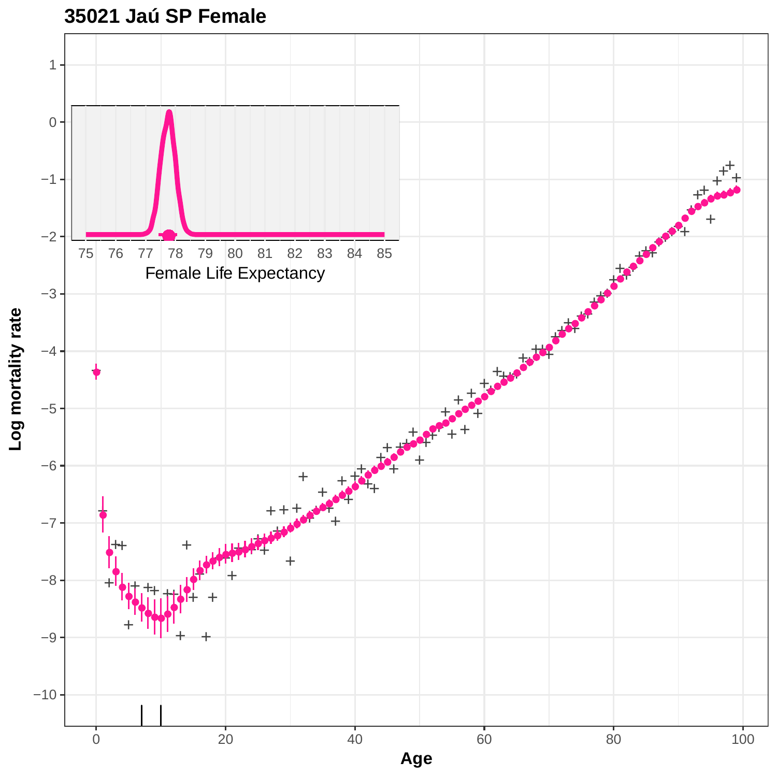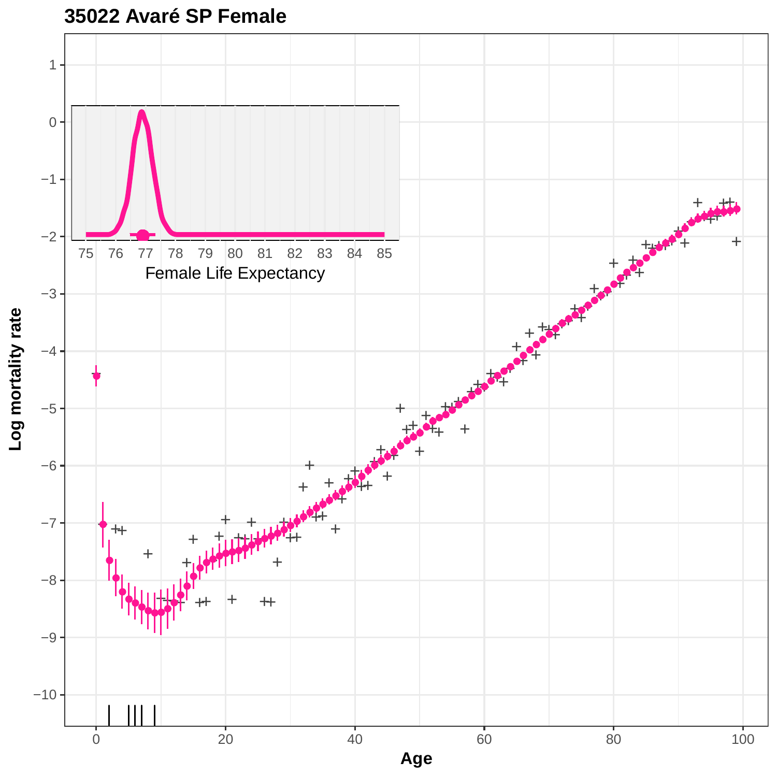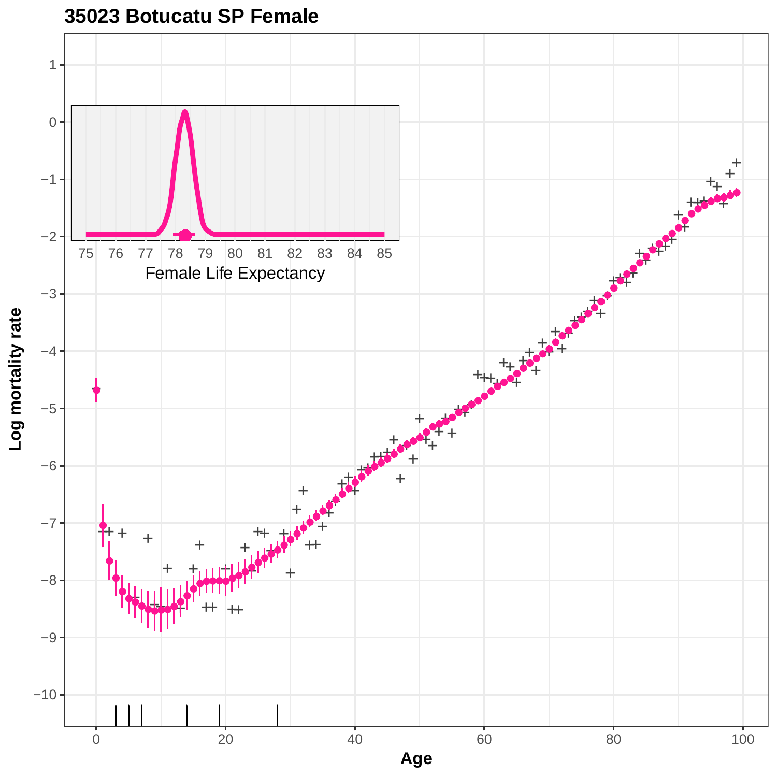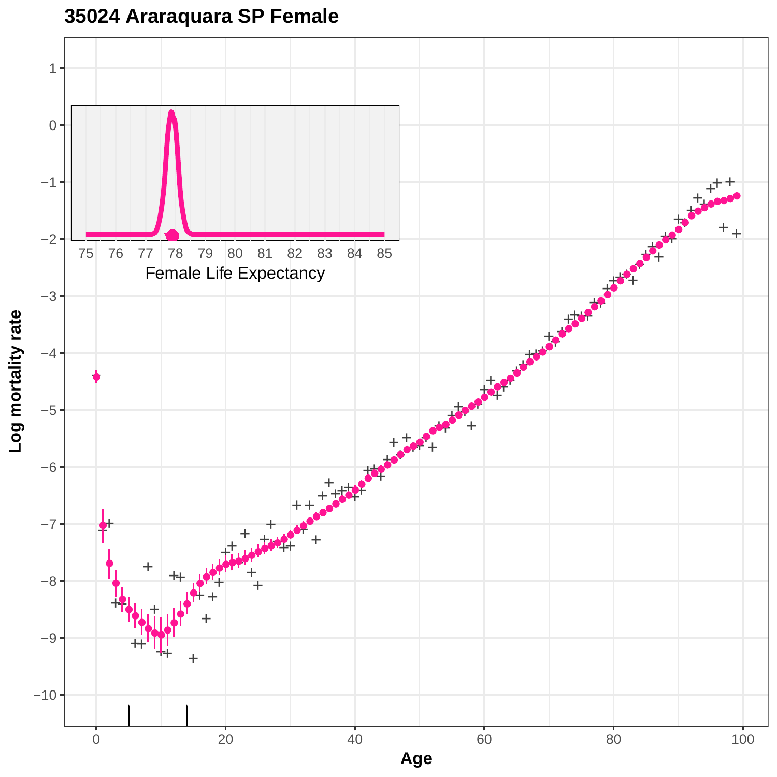**35024 Araraquara SP Female**

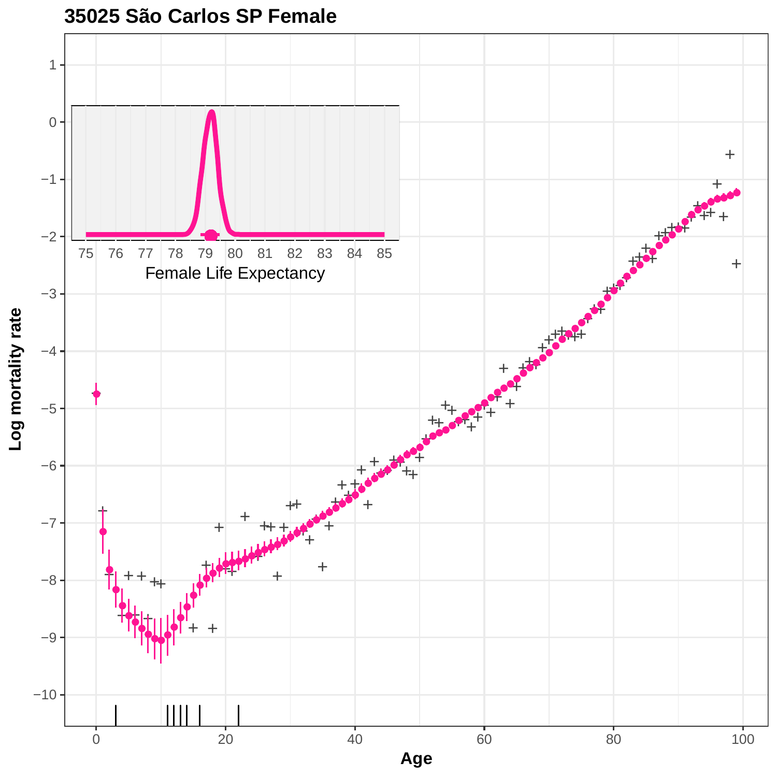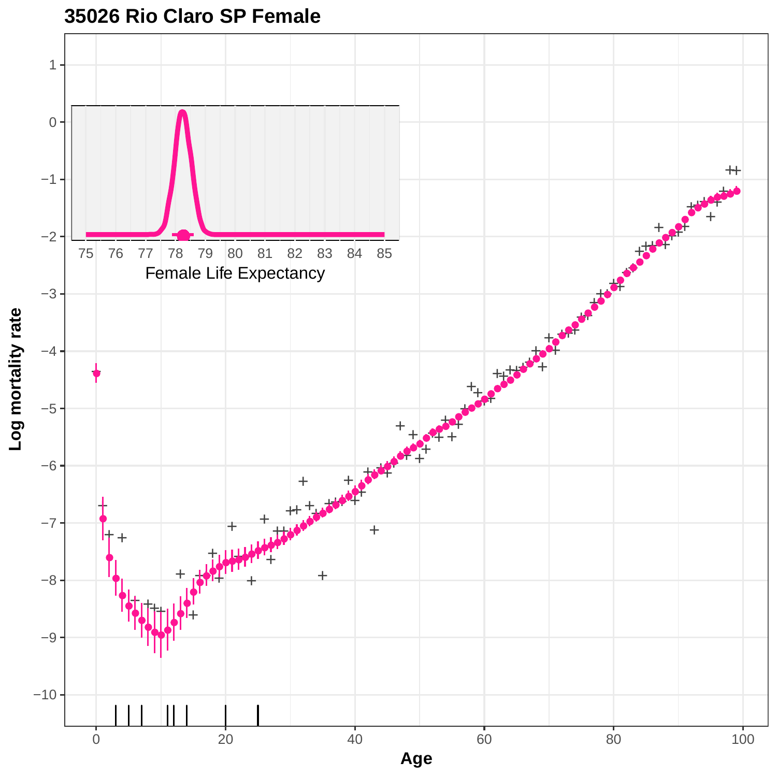

### **35026 Rio Claro SP Female**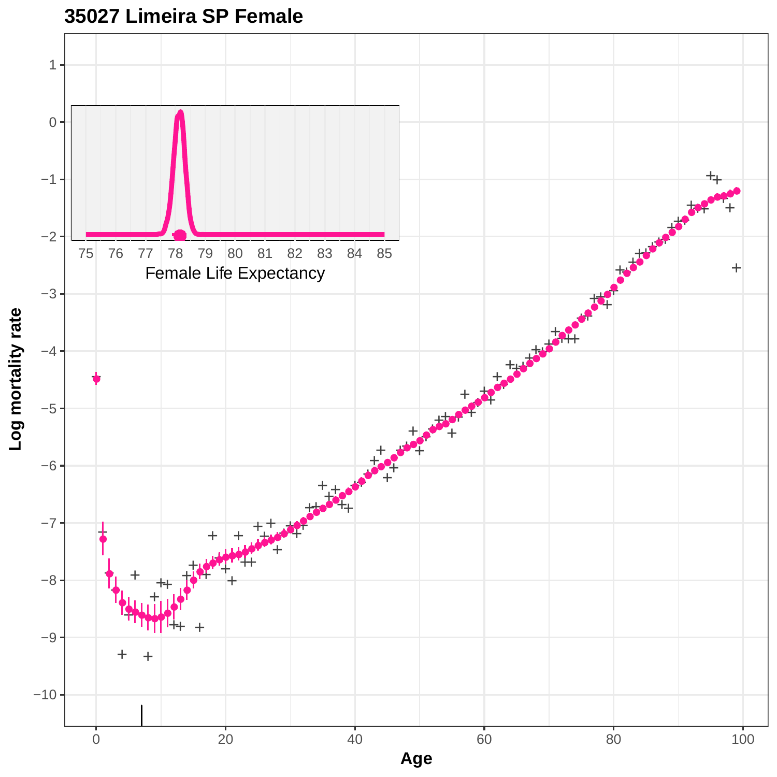

## **35027 Limeira SP Female**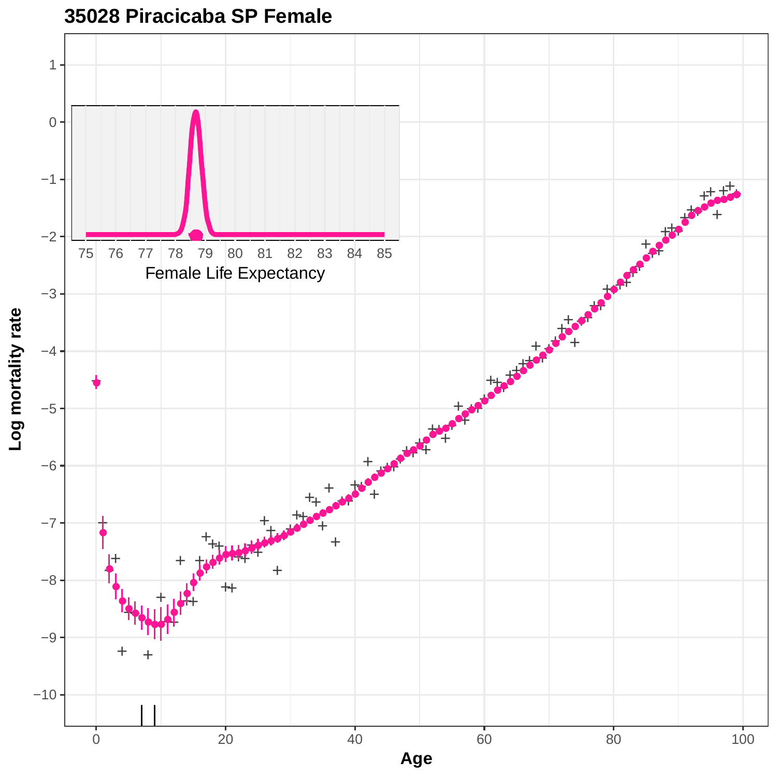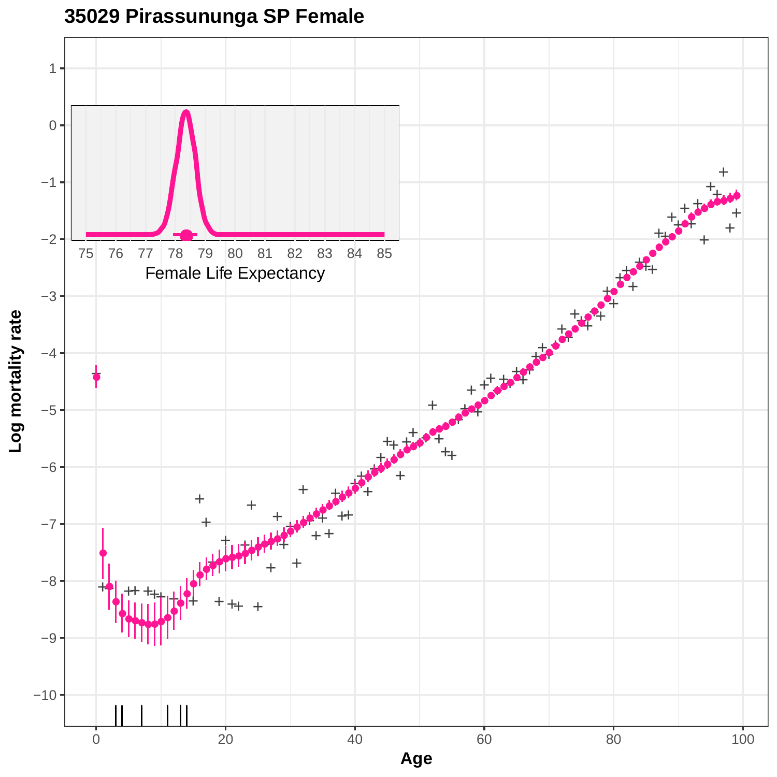

# **35029 Pirassununga SP Female**

0 20 20 40 60 80 80 100 **Age**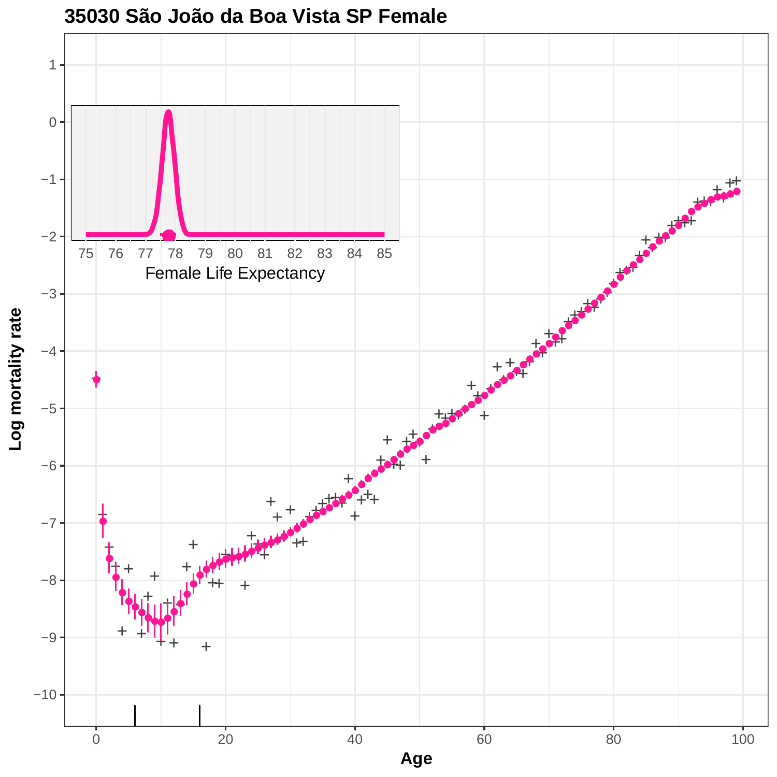

#### **35030 São João da Boa Vista SP Female**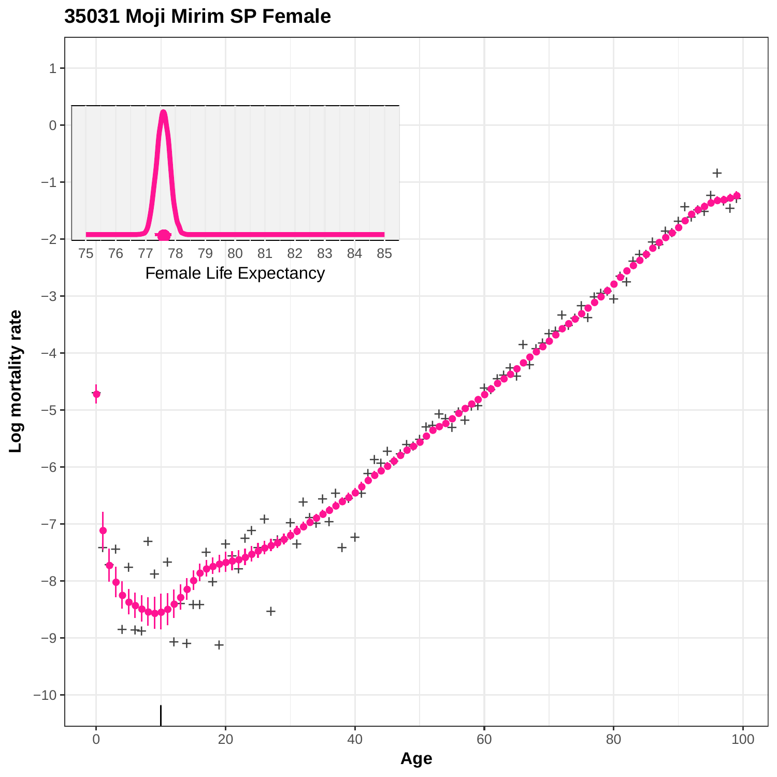**35031 Moji Mirim SP Female**

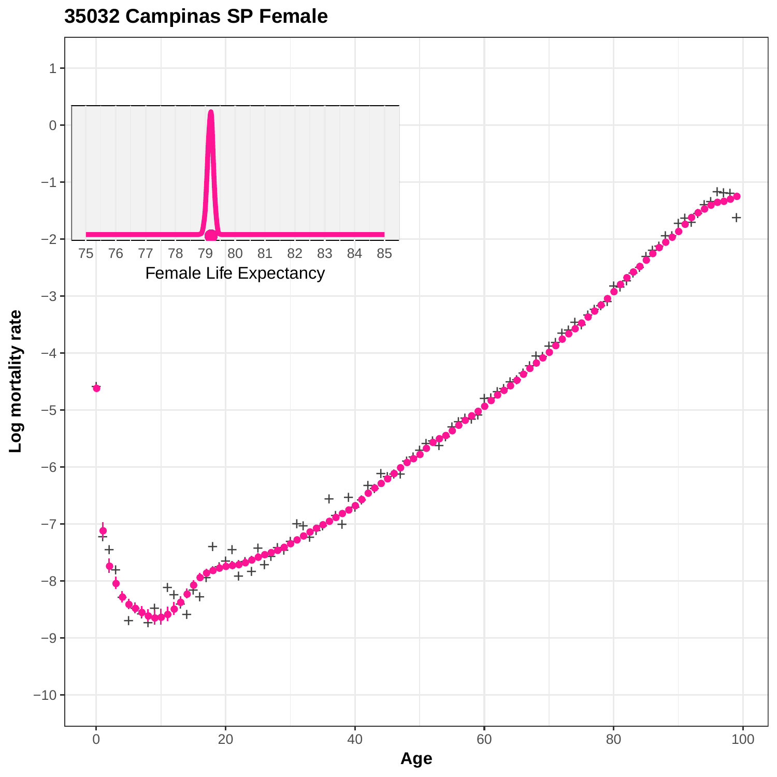



Log mortality rate **Log mortality rate**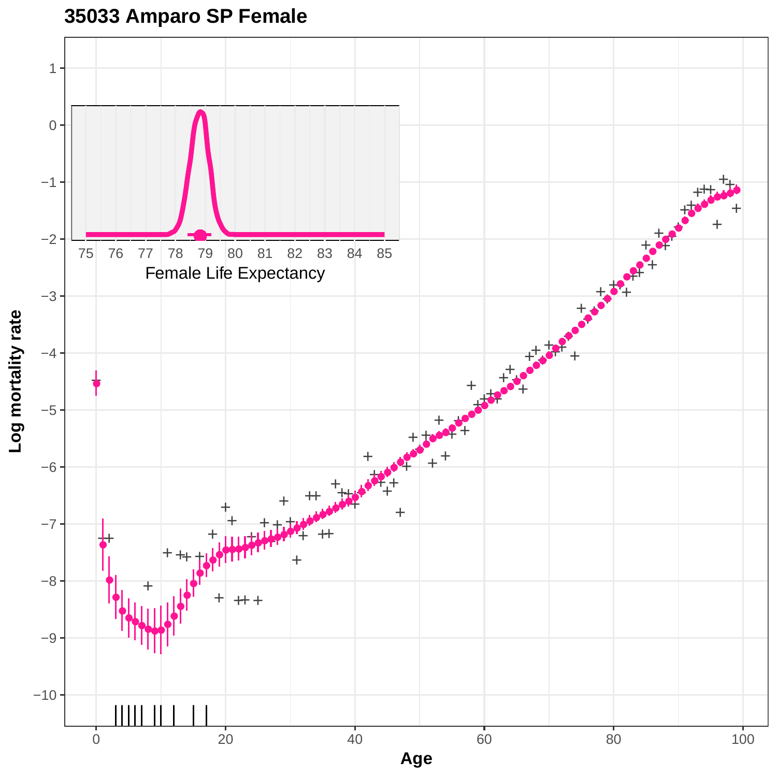

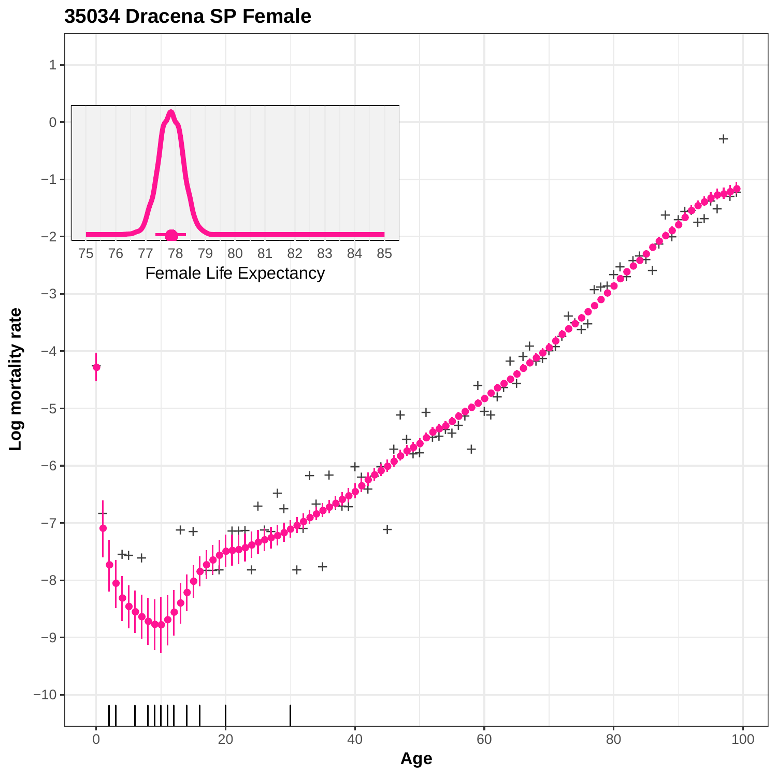

**35034 Dracena SP Female**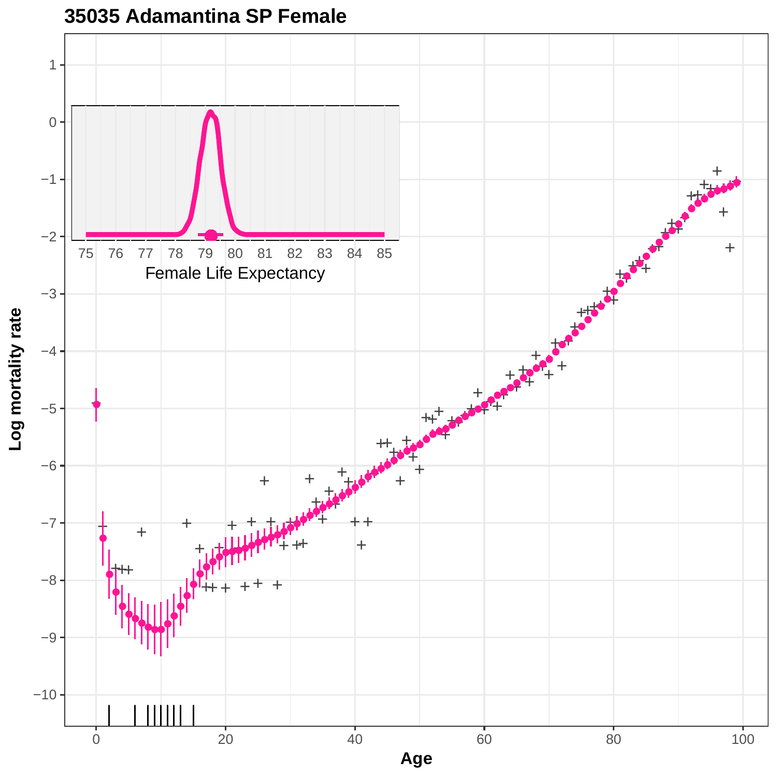

**<sup>35035</sup> Adamantina SP Female**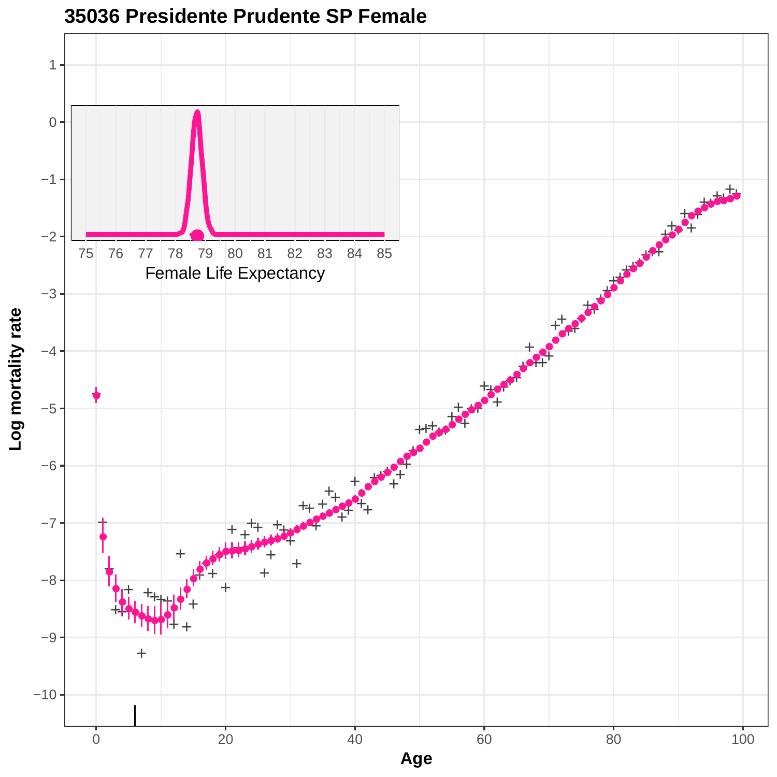

**35036 Presidente Prudente SP Female**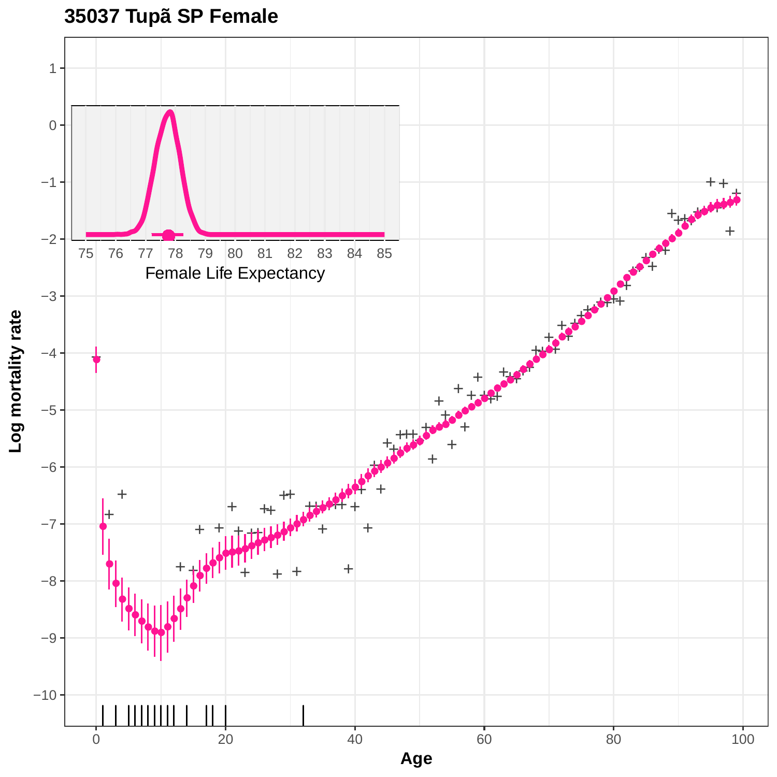

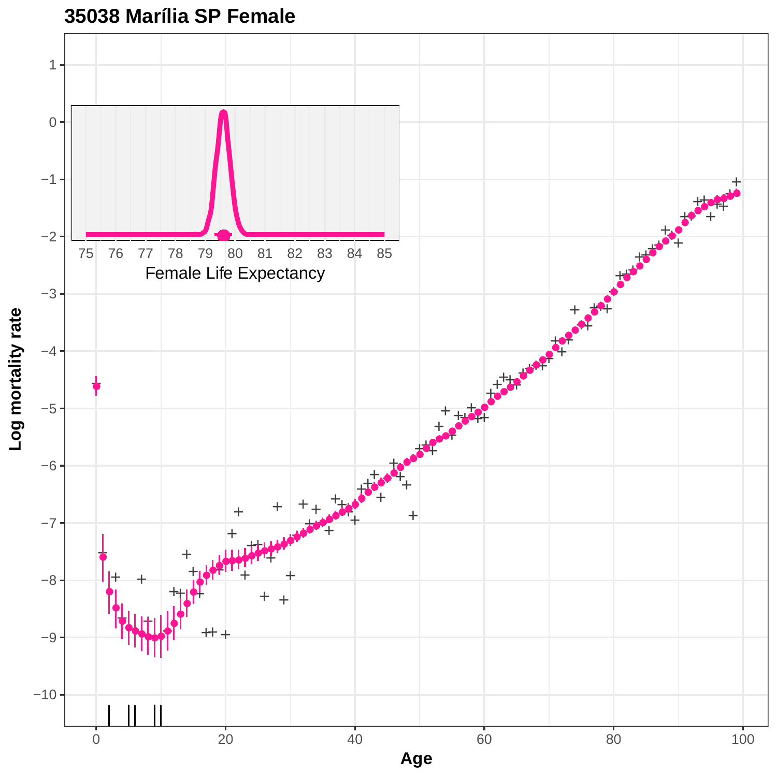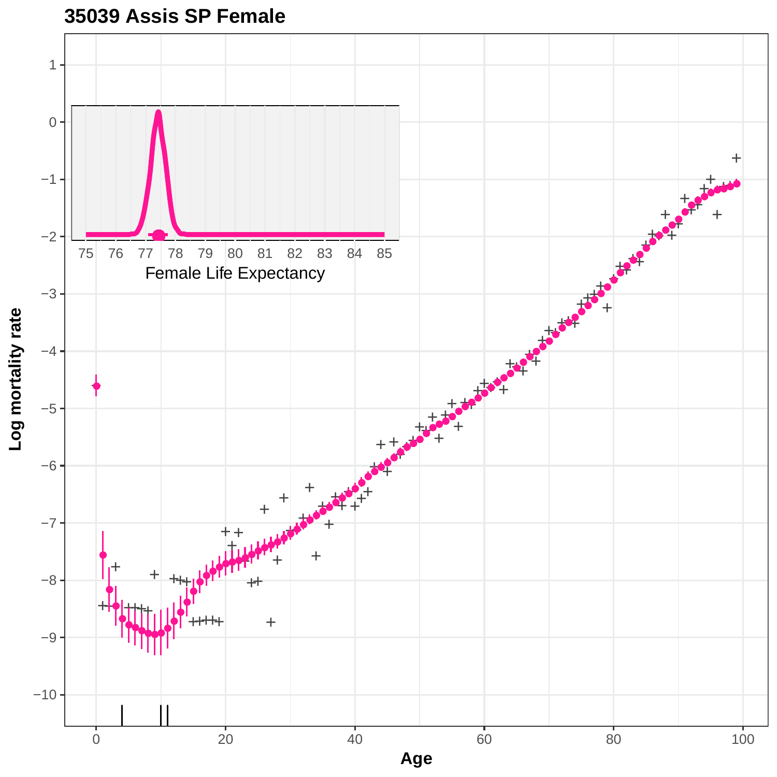

**35039 Assis SP Female**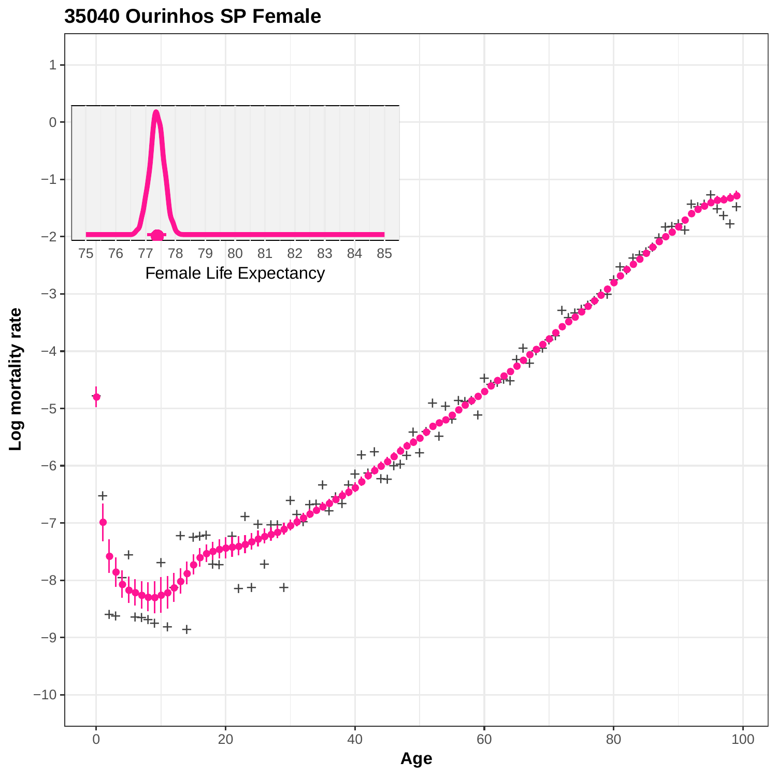

# **35040 Ourinhos SP Female**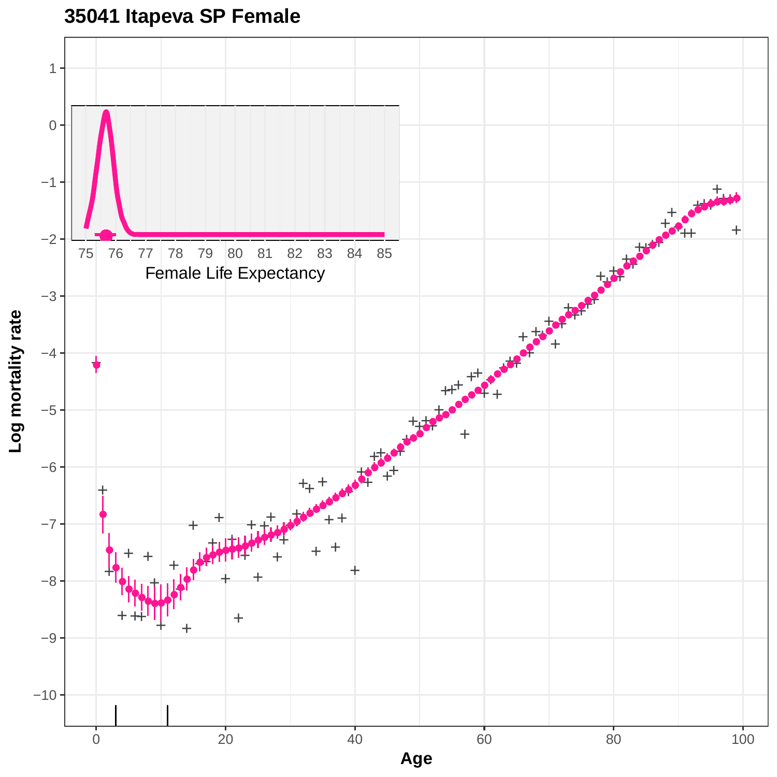**35041 Itapeva SP Female**

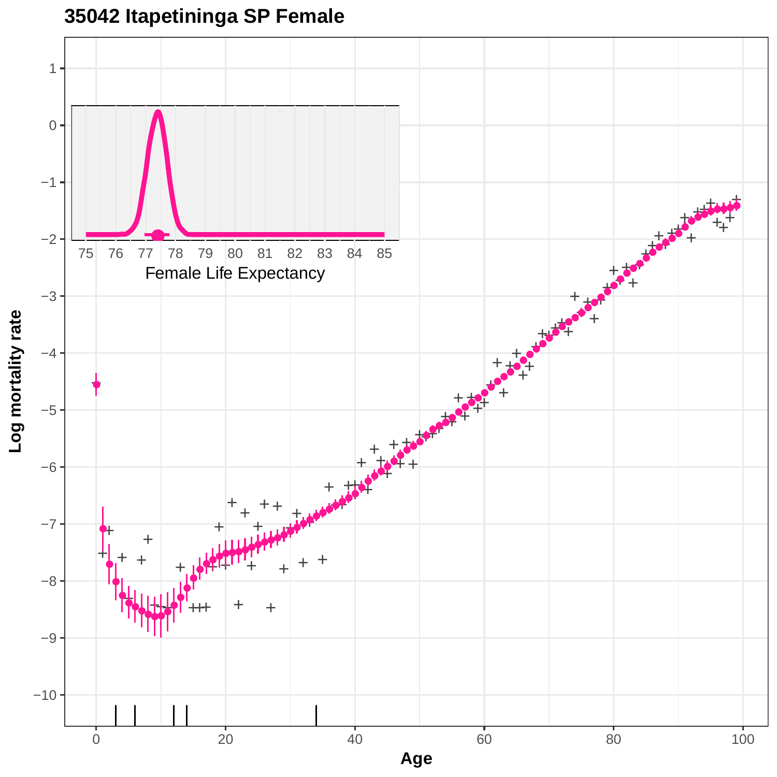

**35042 Itapetininga SP Female**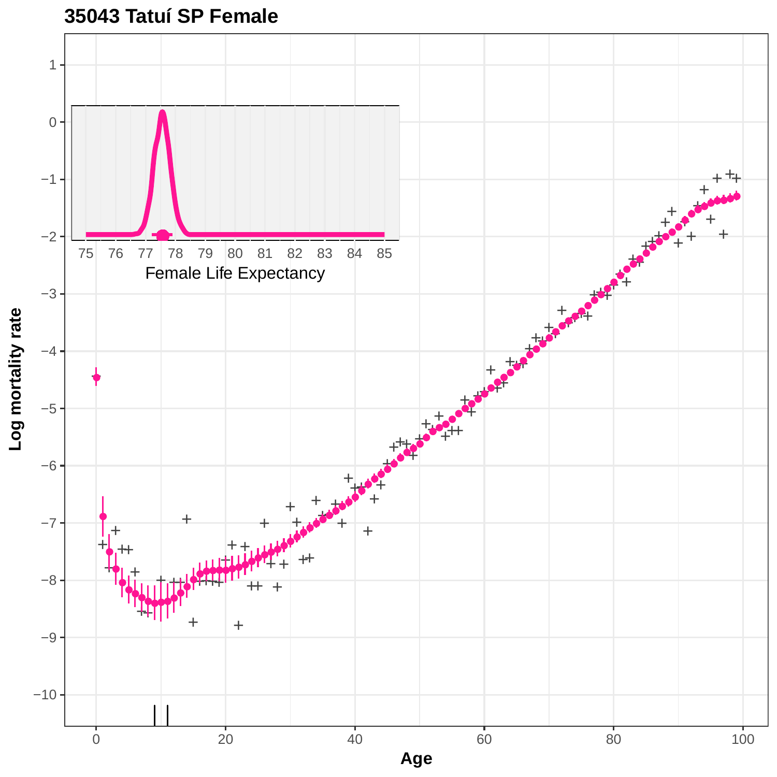

**35043 Tatuí SP Female**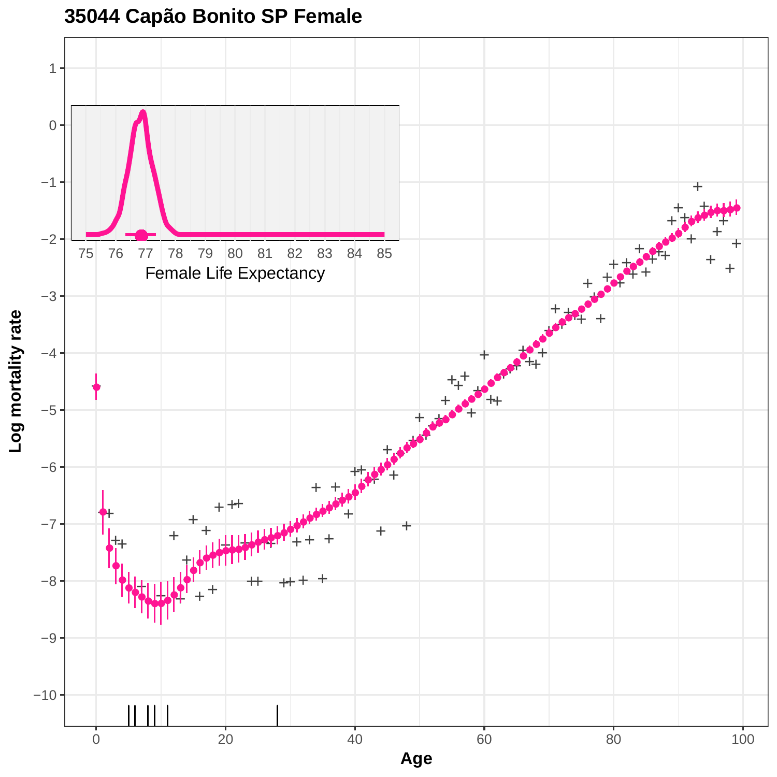![](_page_43_Figure_0.jpeg)

**35044 Capão Bonito SP Female**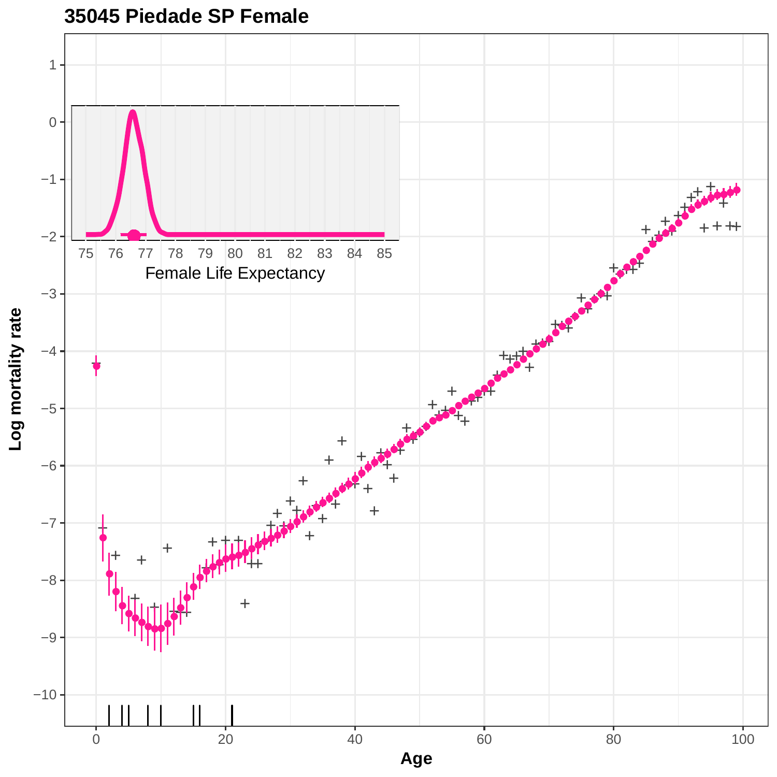![](_page_44_Figure_0.jpeg)

**35045 Piedade SP Female**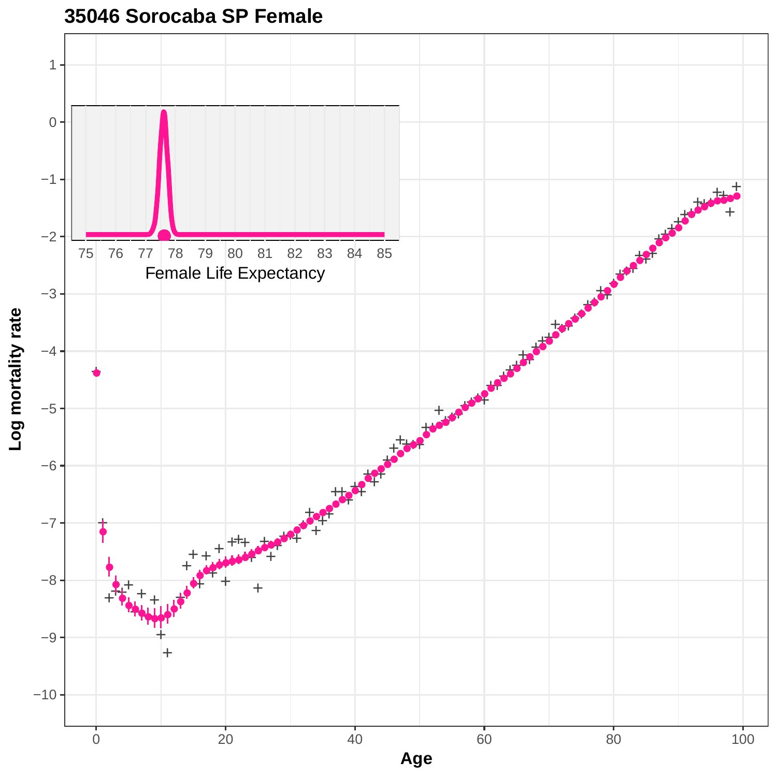![](_page_45_Figure_0.jpeg)

**35046 Sorocaba SP Female**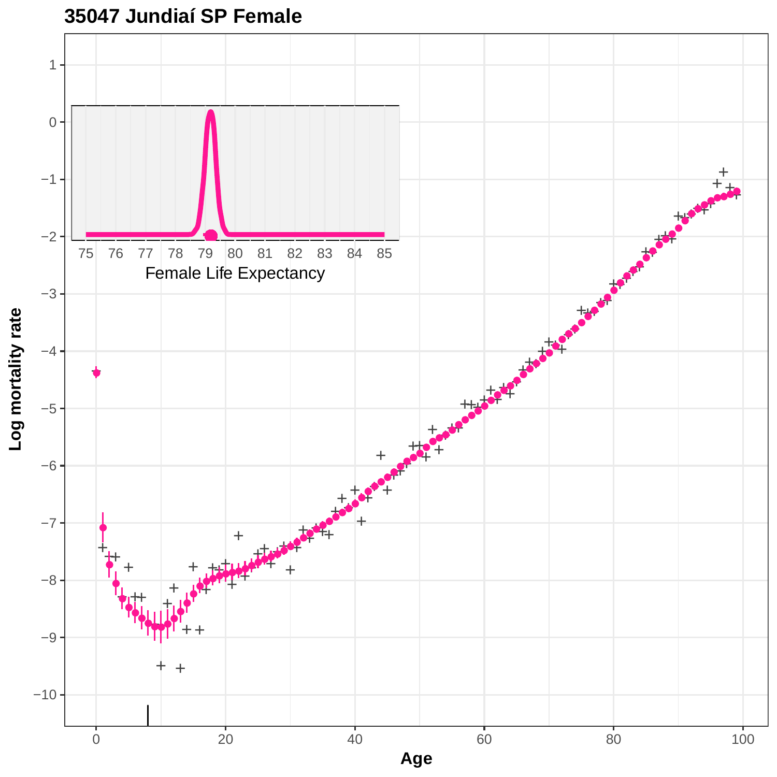![](_page_46_Figure_0.jpeg)

**35047 Jundiaí SP Female**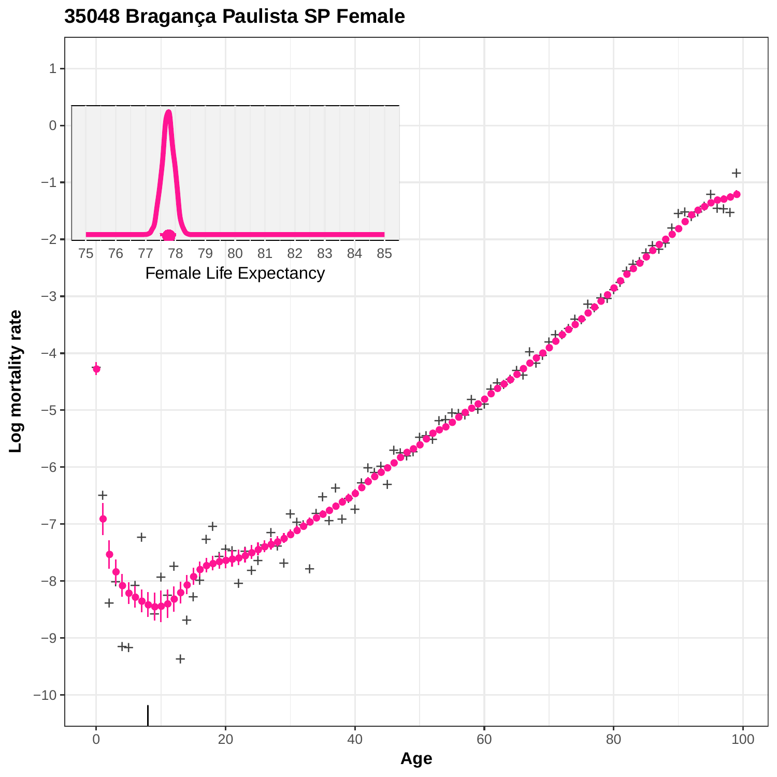![](_page_47_Figure_0.jpeg)

### **35048 Bragança Paulista SP Female**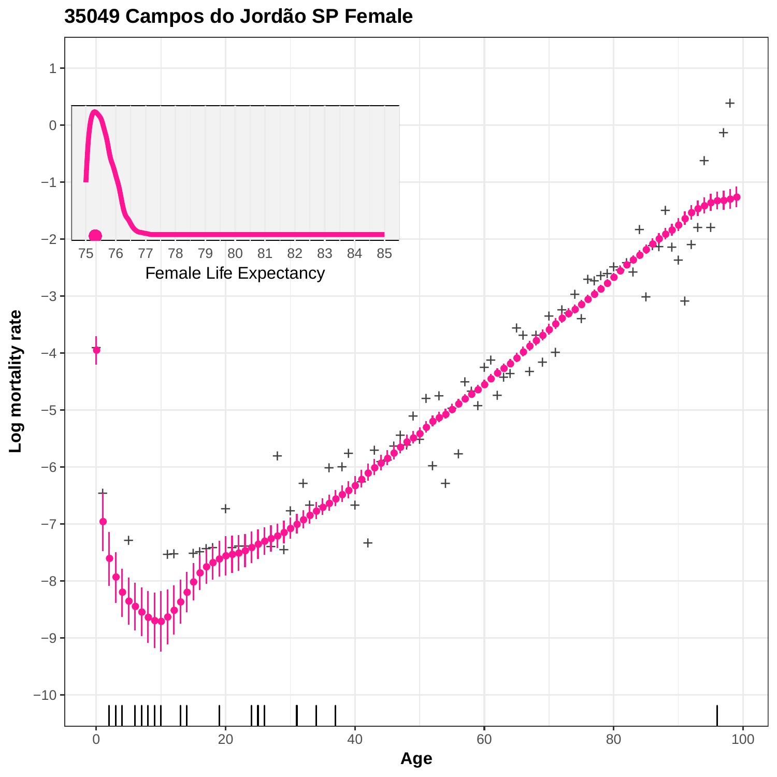![](_page_48_Figure_0.jpeg)

![](_page_48_Figure_1.jpeg)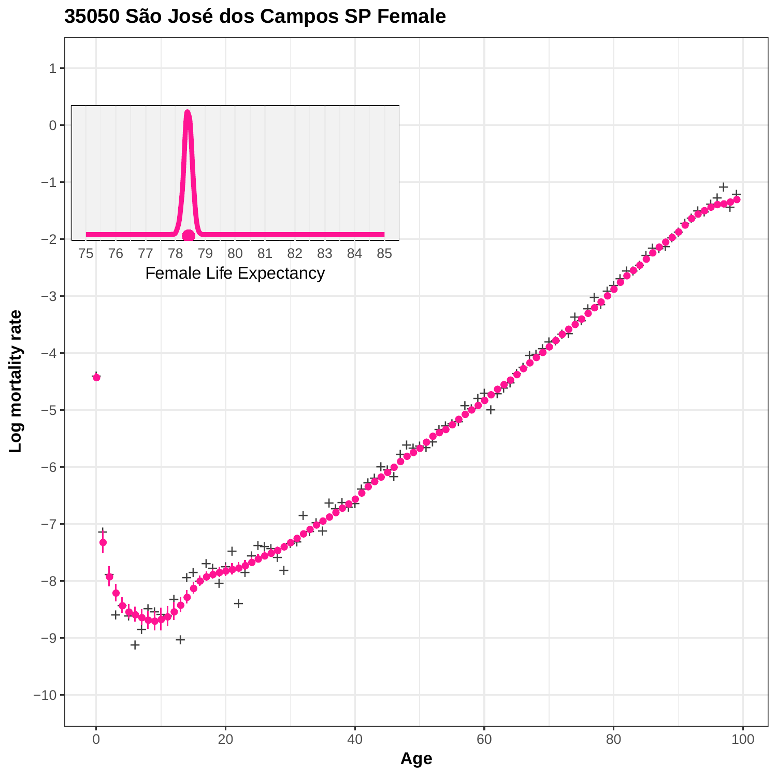![](_page_49_Figure_0.jpeg)

**35050 São José dos Campos SP Female**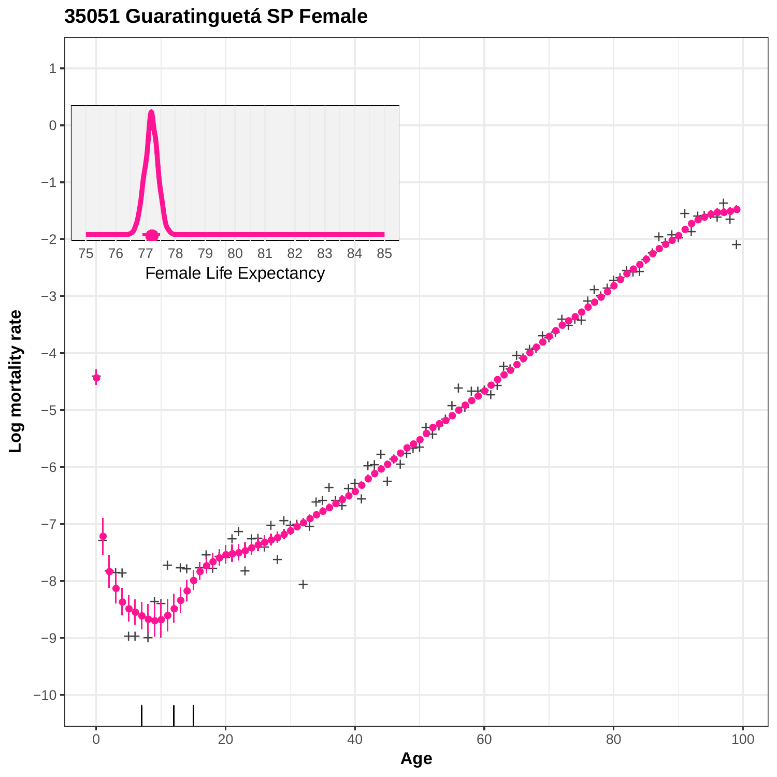![](_page_50_Figure_0.jpeg)

**35051 Guaratinguetá SP Female**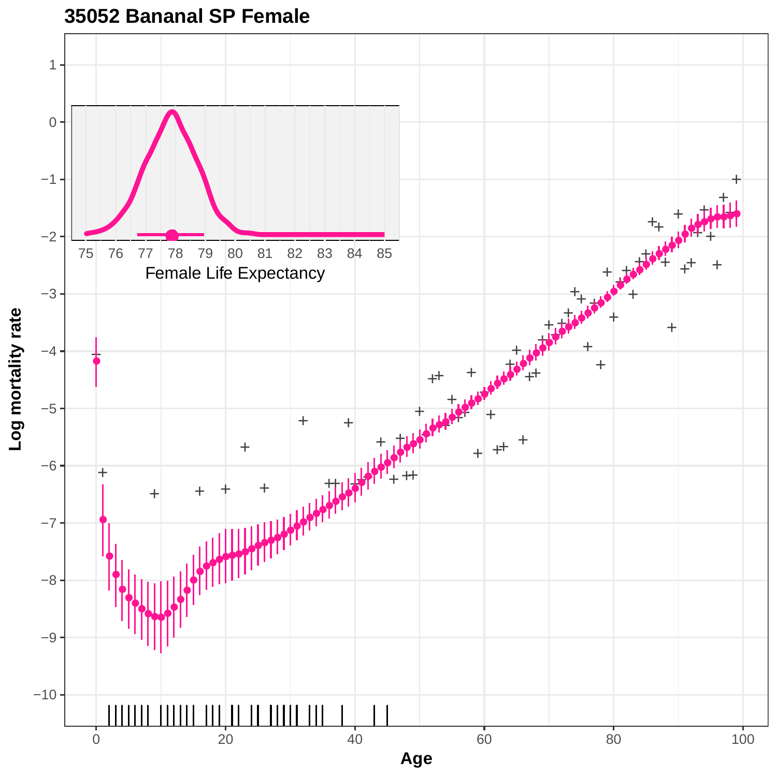![](_page_51_Figure_0.jpeg)

**35052 Bananal SP Female**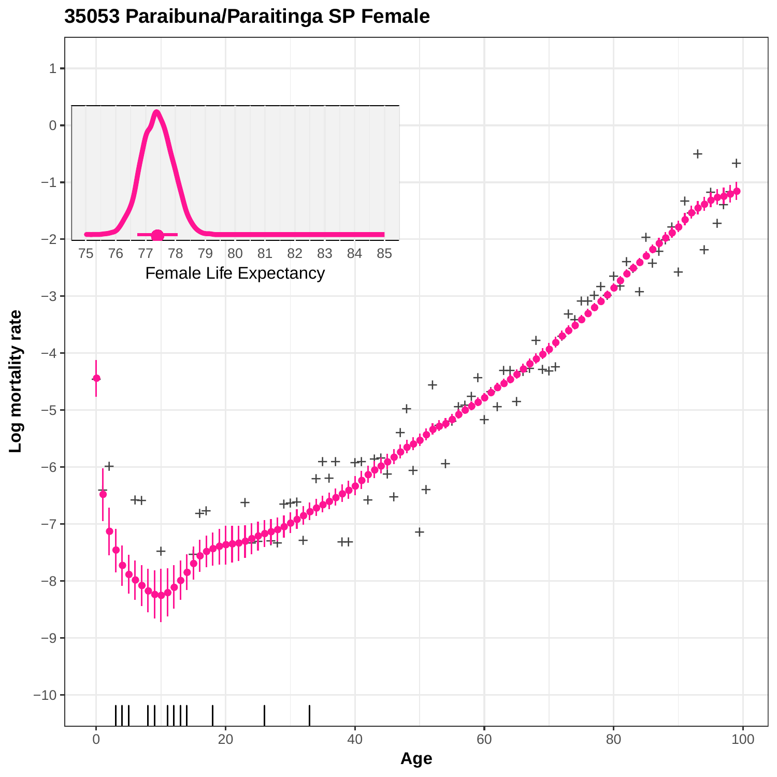![](_page_52_Figure_0.jpeg)

### **35053 Paraibuna/Paraitinga SP Female**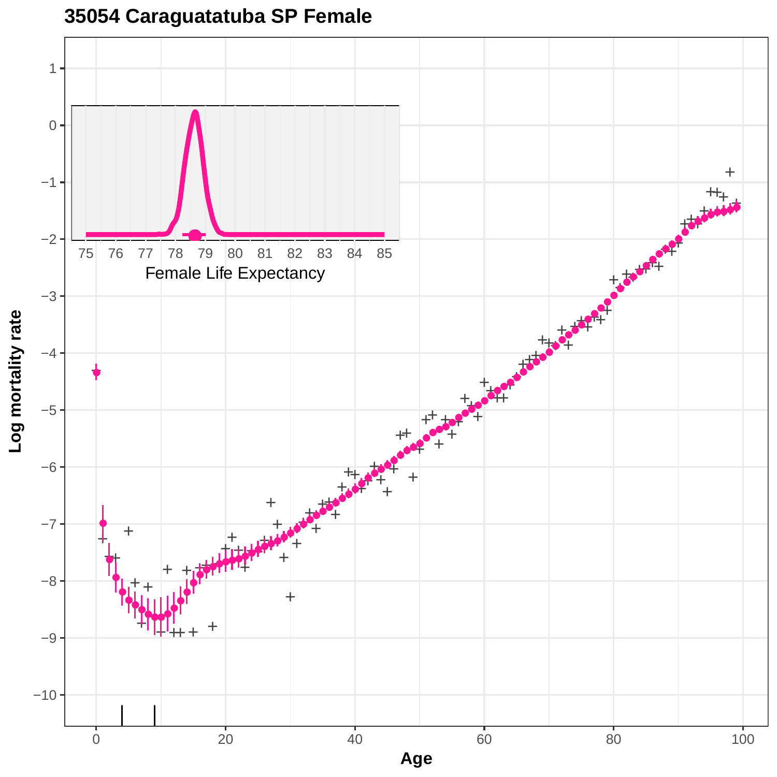![](_page_53_Figure_0.jpeg)

### **35054 Caraguatatuba SP Female**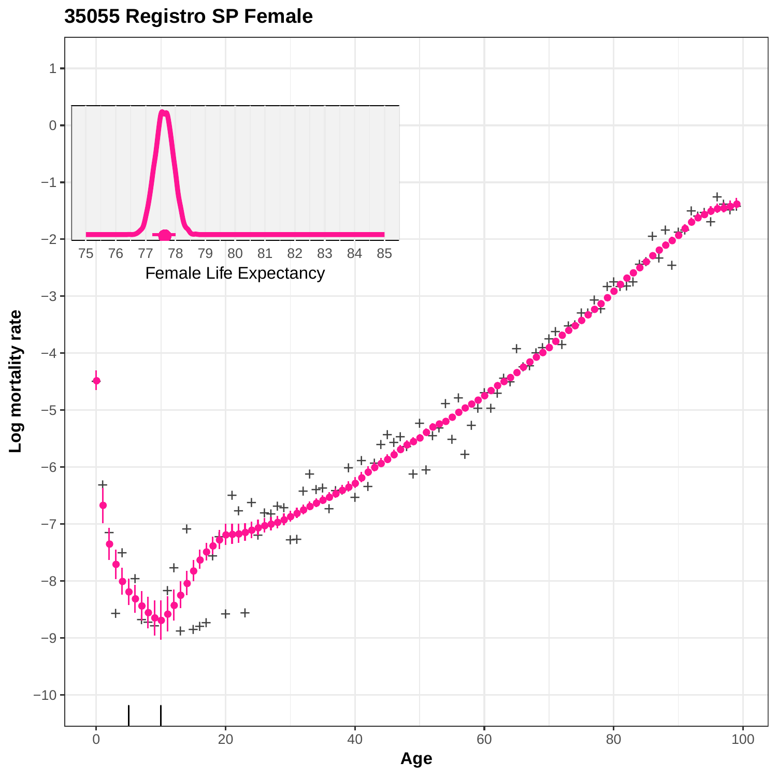**35055 Registro SP Female**

![](_page_54_Figure_1.jpeg)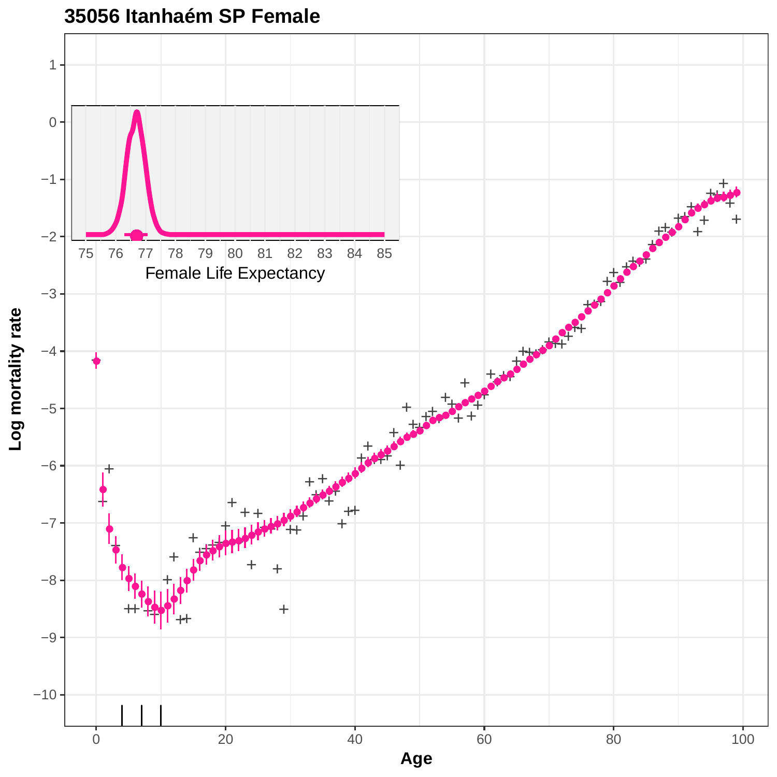![](_page_55_Figure_0.jpeg)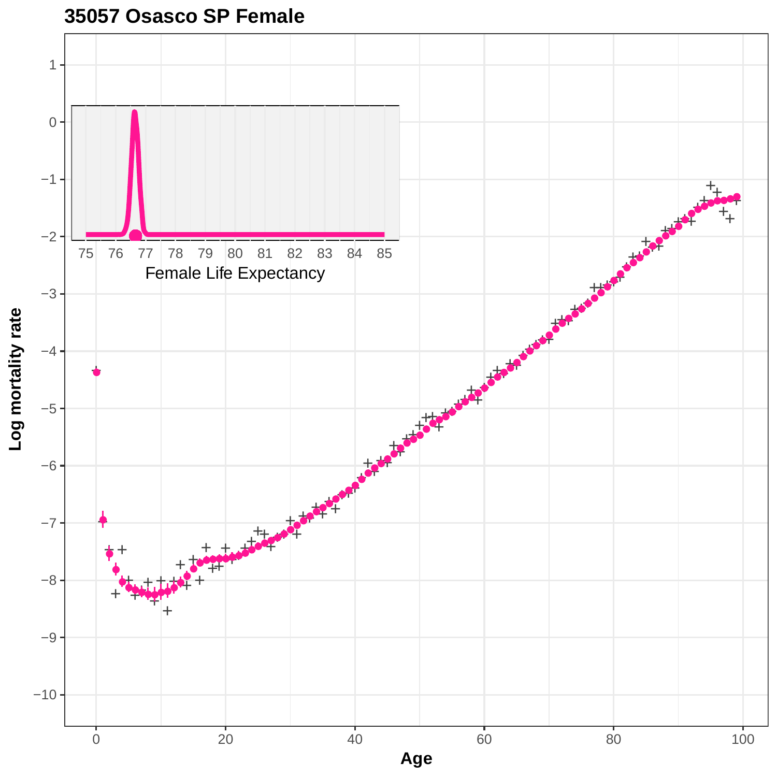![](_page_56_Figure_0.jpeg)

**35057 Osasco SP Female**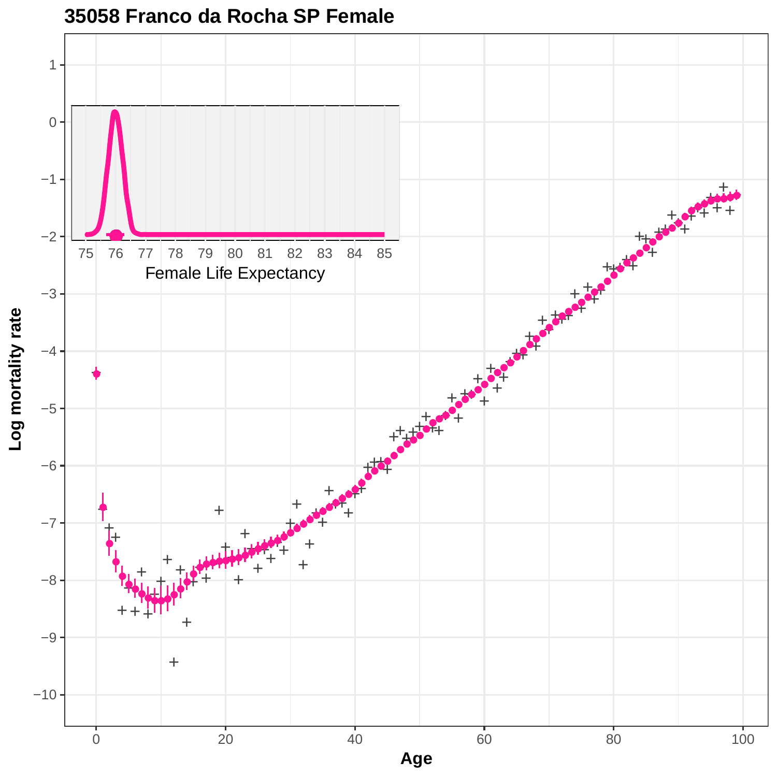![](_page_57_Figure_0.jpeg)

#### **35058 Franco da Rocha SP Female**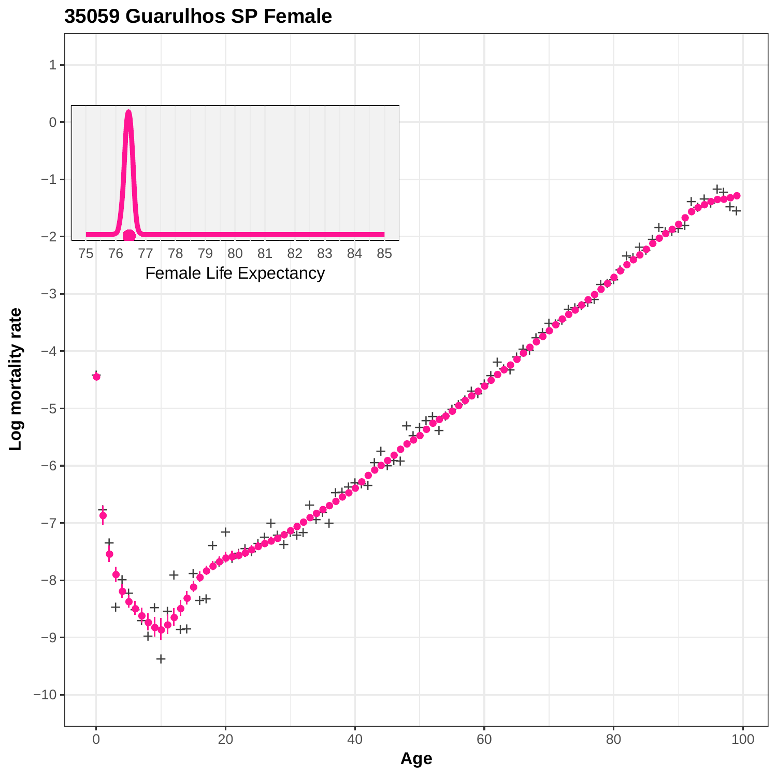![](_page_58_Figure_0.jpeg)

## **35059 Guarulhos SP Female**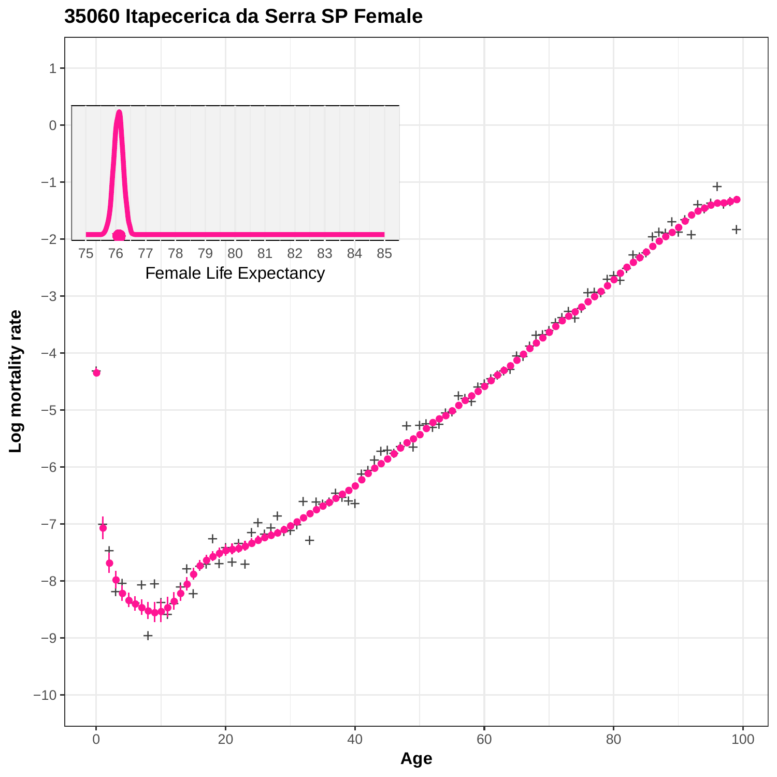![](_page_59_Figure_0.jpeg)

### **35060 Itapecerica da Serra SP Female**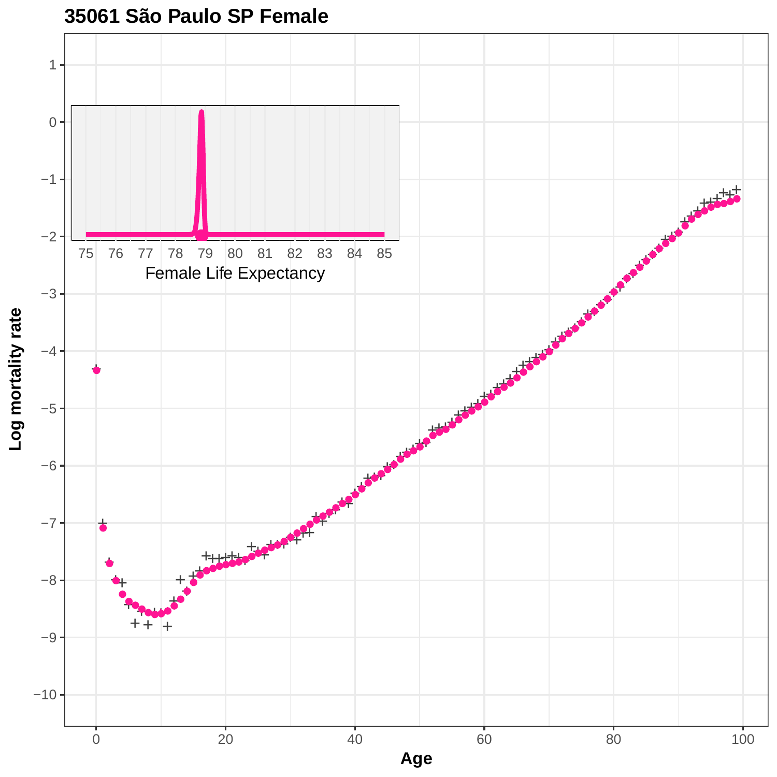![](_page_60_Figure_0.jpeg)

**35061 São Paulo SP Female**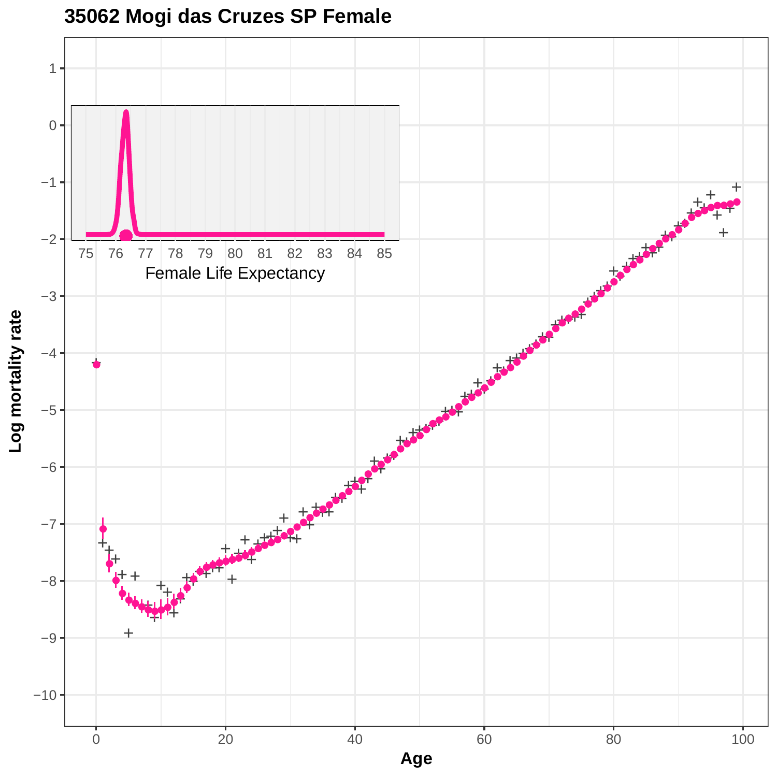![](_page_61_Figure_0.jpeg)

![](_page_61_Figure_1.jpeg)